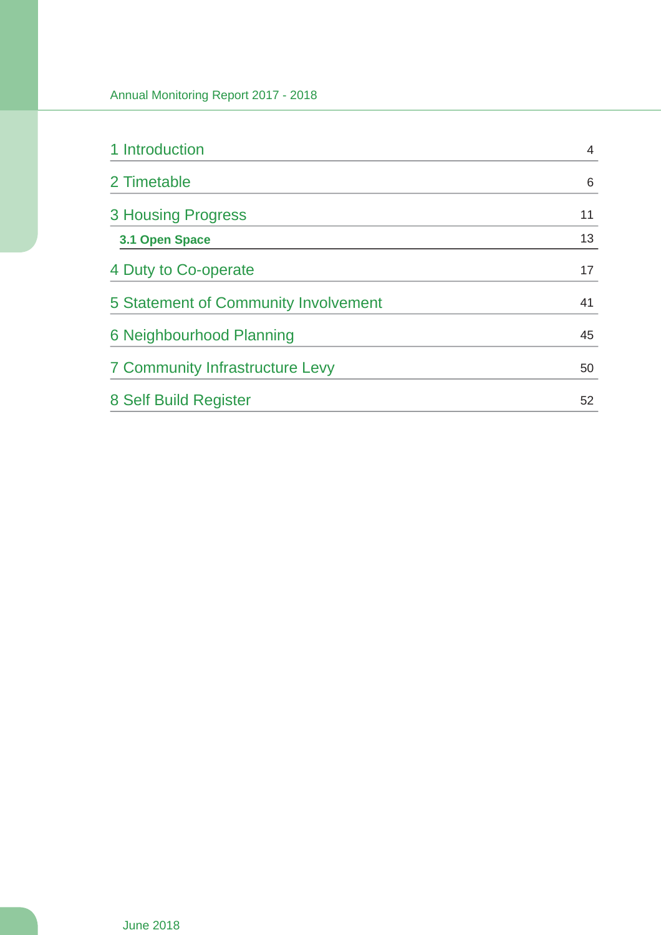| 1 Introduction                         | 4  |
|----------------------------------------|----|
| 2 Timetable                            | 6  |
| <b>3 Housing Progress</b>              | 11 |
| 3.1 Open Space                         | 13 |
| 4 Duty to Co-operate                   | 17 |
| 5 Statement of Community Involvement   | 41 |
| 6 Neighbourhood Planning               | 45 |
| <b>7 Community Infrastructure Levy</b> | 50 |
| 8 Self Build Register                  | 52 |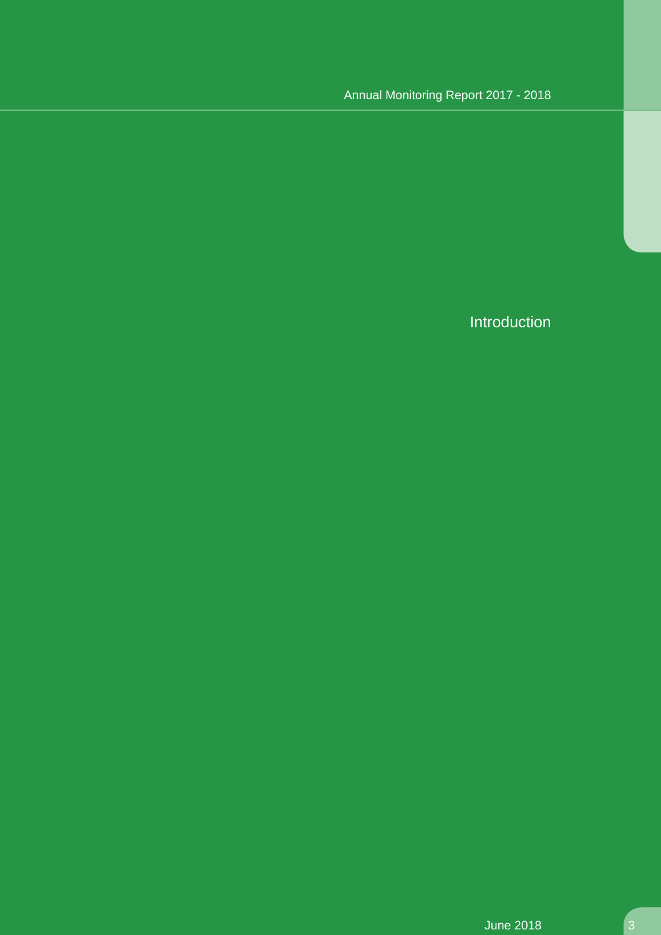Introduction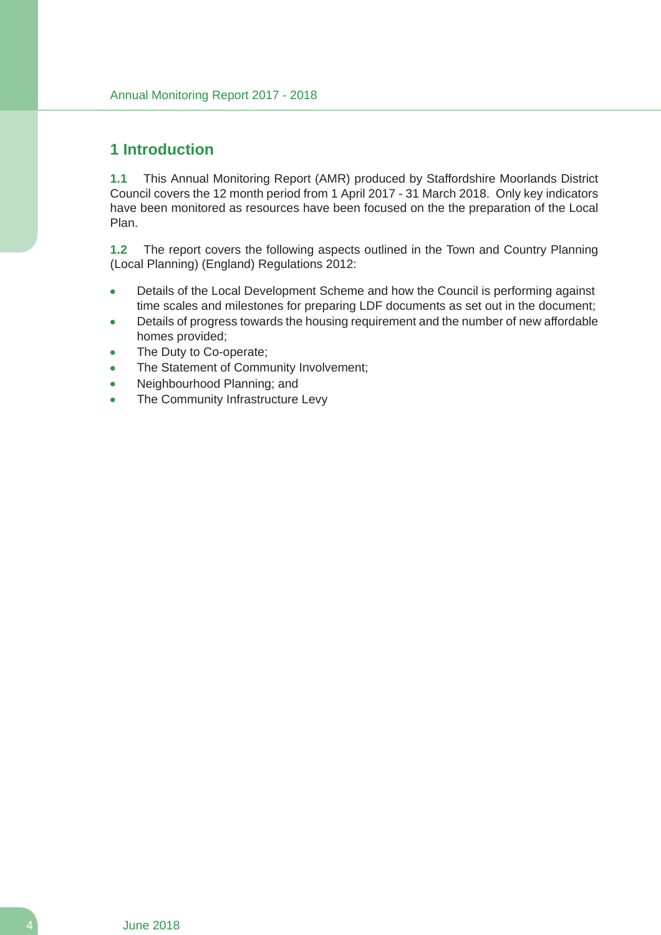### **1 Introduction**

**1.1** This Annual Monitoring Report (AMR) produced by Staffordshire Moorlands District Council covers the 12 month period from 1 April 2017 - 31 March 2018. Only key indicators have been monitored as resources have been focused on the the preparation of the Local Plan.

**1.2** The report covers the following aspects outlined in the Town and Country Planning (Local Planning) (England) Regulations 2012:

- Details of the Local Development Scheme and how the Council is performing against time scales and milestones for preparing LDF documents as set out in the document;
- Details of progress towards the housing requirement and the number of new affordable homes provided;
- The Duty to Co-operate;
- The Statement of Community Involvement;
- Neighbourhood Planning; and
- The Community Infrastructure Levy  $\bullet$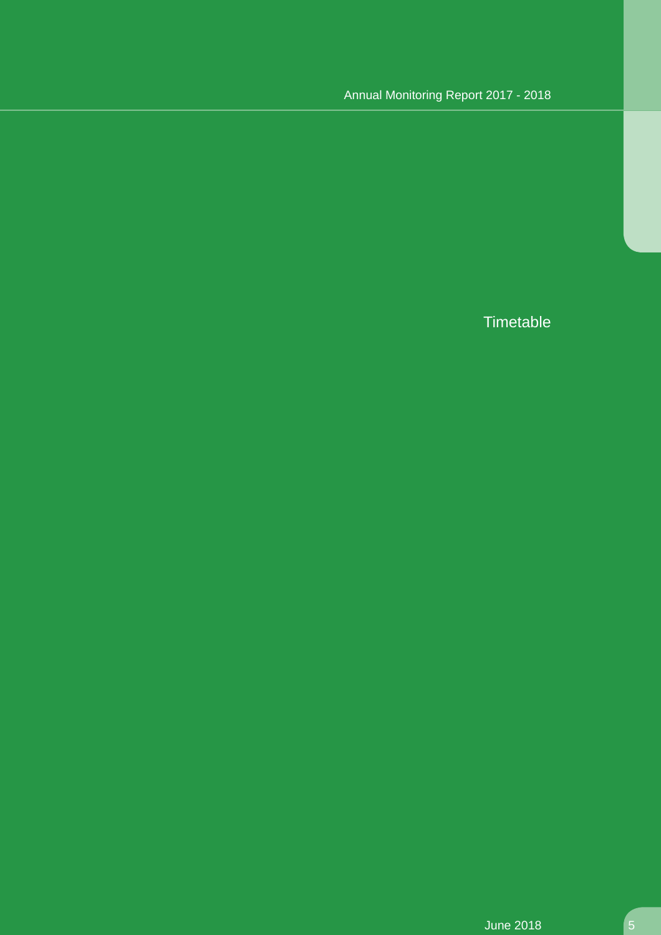**Timetable**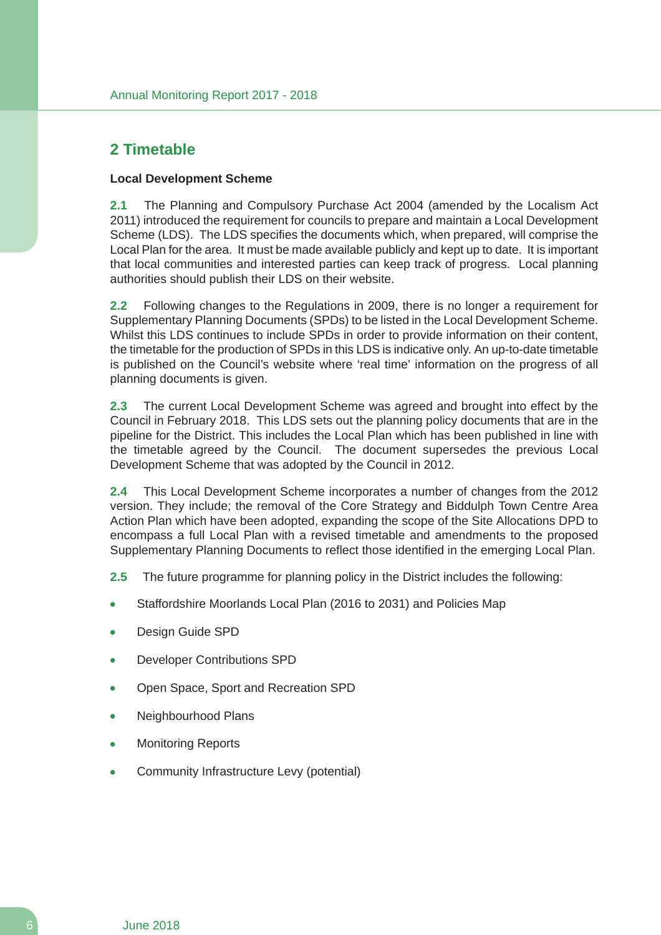# **2 Timetable**

#### **Local Development Scheme**

**2.1** The Planning and Compulsory Purchase Act 2004 (amended by the Localism Act 2011) introduced the requirement for councils to prepare and maintain a Local Development Scheme (LDS). The LDS specifies the documents which, when prepared, will comprise the Local Plan for the area. It must be made available publicly and kept up to date. It is important that local communities and interested parties can keep track of progress. Local planning authorities should publish their LDS on their website.

**2.2** Following changes to the Regulations in 2009, there is no longer a requirement for Supplementary Planning Documents (SPDs) to be listed in the Local Development Scheme. Whilst this LDS continues to include SPDs in order to provide information on their content, the timetable for the production of SPDs in this LDS is indicative only. An up-to-date timetable is published on the Council's website where 'real time' information on the progress of all planning documents is given.

**2.3** The current Local Development Scheme was agreed and brought into effect by the Council in February 2018. This LDS sets out the planning policy documents that are in the pipeline for the District. This includes the Local Plan which has been published in line with the timetable agreed by the Council. The document supersedes the previous Local Development Scheme that was adopted by the Council in 2012.

**2.4** This Local Development Scheme incorporates a number of changes from the 2012 version. They include; the removal of the Core Strategy and Biddulph Town Centre Area Action Plan which have been adopted, expanding the scope of the Site Allocations DPD to encompass a full Local Plan with a revised timetable and amendments to the proposed Supplementary Planning Documents to reflect those identified in the emerging Local Plan.

**2.5** The future programme for planning policy in the District includes the following:

- Staffordshire Moorlands Local Plan (2016 to 2031) and Policies Map
- Design Guide SPD
- Developer Contributions SPD
- Open Space, Sport and Recreation SPD
- Neighbourhood Plans
- Monitoring Reports
- Community Infrastructure Levy (potential)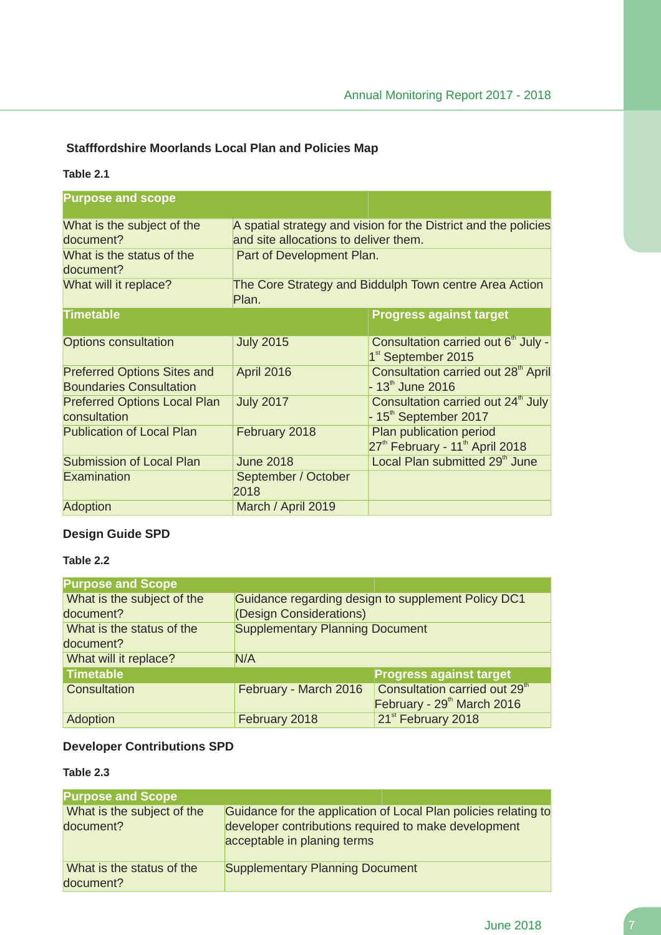### **Stafffordshire Moorlands Local Plan and Policies Map**

#### **Table 2.1**

| <b>Purpose and scope</b>                                             |                                                                 |                                                                                                          |  |  |
|----------------------------------------------------------------------|-----------------------------------------------------------------|----------------------------------------------------------------------------------------------------------|--|--|
| What is the subject of the<br>document?                              |                                                                 | A spatial strategy and vision for the District and the policies<br>and site allocations to deliver them. |  |  |
| What is the status of the<br>document?                               | Part of Development Plan.                                       |                                                                                                          |  |  |
| What will it replace?                                                | The Core Strategy and Biddulph Town centre Area Action<br>Plan. |                                                                                                          |  |  |
| <b>Timetable</b>                                                     |                                                                 | <b>Progress against target</b>                                                                           |  |  |
| <b>Options consultation</b>                                          | <b>July 2015</b>                                                | Consultation carried out 6 <sup>th</sup> July -<br>1 <sup>st</sup> September 2015                        |  |  |
| <b>Preferred Options Sites and</b><br><b>Boundaries Consultation</b> | <b>April 2016</b>                                               | Consultation carried out 28 <sup>th</sup> April<br>$-13th$ June 2016                                     |  |  |
| <b>Preferred Options Local Plan</b><br>consultation                  | <b>July 2017</b>                                                | Consultation carried out 24 <sup>th</sup> July<br>$-15th$ September 2017                                 |  |  |
| <b>Publication of Local Plan</b>                                     | February 2018                                                   | Plan publication period<br>27 <sup>th</sup> February - 11 <sup>th</sup> April 2018                       |  |  |
| <b>Submission of Local Plan</b>                                      | <b>June 2018</b>                                                | Local Plan submitted 29 <sup>th</sup> June                                                               |  |  |
| Examination                                                          | September / October<br>2018                                     |                                                                                                          |  |  |
| <b>Adoption</b>                                                      | March / April 2019                                              |                                                                                                          |  |  |

#### **Design Guide SPD**

#### **Table 2.2**

| <b>Purpose and Scope</b>   |                                                    |                                           |  |
|----------------------------|----------------------------------------------------|-------------------------------------------|--|
| What is the subject of the | Guidance regarding design to supplement Policy DC1 |                                           |  |
| document?                  | (Design Considerations)                            |                                           |  |
| What is the status of the  | <b>Supplementary Planning Document</b>             |                                           |  |
| document?                  |                                                    |                                           |  |
| What will it replace?      | N/A                                                |                                           |  |
| <b>Timetable</b>           |                                                    | <b>Progress against target</b>            |  |
| Consultation               | February - March 2016                              | Consultation carried out 29 <sup>th</sup> |  |
|                            |                                                    | February - 29 <sup>th</sup> March 2016    |  |
| Adoption                   | February 2018                                      | 21 <sup>st</sup> February 2018            |  |

### **Developer Contributions SPD**

### **Table 2.3**

| <b>Purpose and Scope</b>                |                                                                                                                                                        |
|-----------------------------------------|--------------------------------------------------------------------------------------------------------------------------------------------------------|
| What is the subject of the<br>document? | Guidance for the application of Local Plan policies relating to<br>developer contributions required to make development<br>acceptable in planing terms |
| What is the status of the<br>document?  | <b>Supplementary Planning Document</b>                                                                                                                 |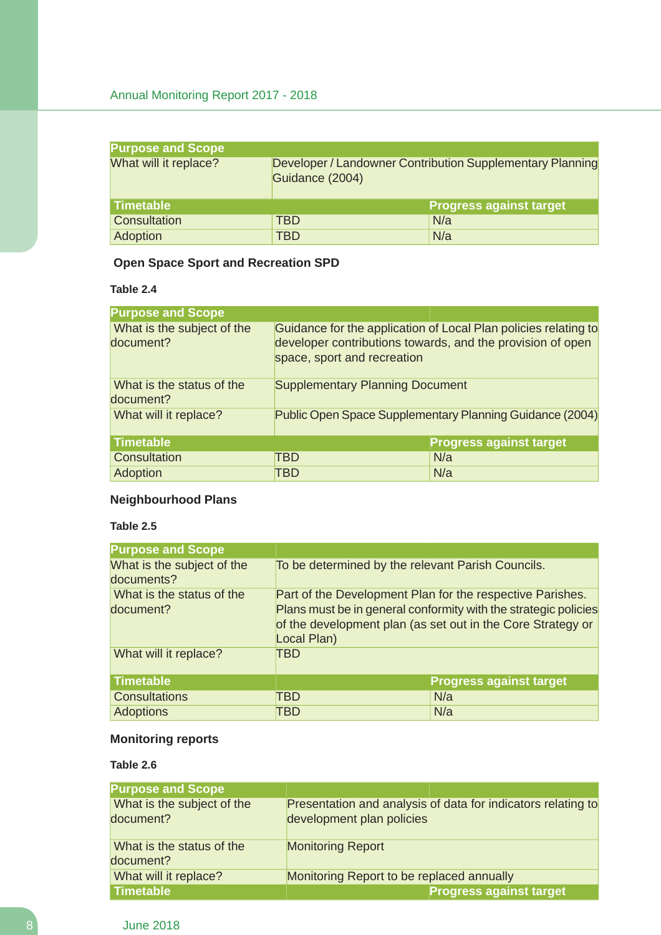| <b>Purpose and Scope</b> |                                                                              |                                |  |
|--------------------------|------------------------------------------------------------------------------|--------------------------------|--|
| What will it replace?    | Developer / Landowner Contribution Supplementary Planning<br>Guidance (2004) |                                |  |
| l Timetable              |                                                                              | <b>Progress against target</b> |  |
| Consultation             | TBD                                                                          | N/a                            |  |
| Adoption                 | TBD                                                                          | N/a                            |  |

# **Open Space Sport and Recreation SPD**

**Table 2.4**

| <b>Purpose and Scope</b>                |                                                          |                                                                                                                               |  |
|-----------------------------------------|----------------------------------------------------------|-------------------------------------------------------------------------------------------------------------------------------|--|
| What is the subject of the<br>document? | space, sport and recreation                              | Guidance for the application of Local Plan policies relating to<br>developer contributions towards, and the provision of open |  |
| What is the status of the<br>document?  | <b>Supplementary Planning Document</b>                   |                                                                                                                               |  |
| What will it replace?                   | Public Open Space Supplementary Planning Guidance (2004) |                                                                                                                               |  |
| <b>Timetable</b>                        |                                                          | <b>Progress against target</b>                                                                                                |  |
| Consultation                            | TBD                                                      | N/a                                                                                                                           |  |
| Adoption                                | TBD                                                      | N/a                                                                                                                           |  |

# **Neighbourhood Plans**

#### **Table 2.5**

| <b>Purpose and Scope</b>                 |                                                   |                                                                                                                                                                                             |
|------------------------------------------|---------------------------------------------------|---------------------------------------------------------------------------------------------------------------------------------------------------------------------------------------------|
| What is the subject of the<br>documents? | To be determined by the relevant Parish Councils. |                                                                                                                                                                                             |
| What is the status of the<br>document?   | Local Plan)                                       | Part of the Development Plan for the respective Parishes.<br>Plans must be in general conformity with the strategic policies<br>of the development plan (as set out in the Core Strategy or |
| What will it replace?                    | TBD                                               |                                                                                                                                                                                             |
| <b>Timetable</b>                         |                                                   | <b>Progress against target</b>                                                                                                                                                              |
| <b>Consultations</b>                     | TBD                                               | N/a                                                                                                                                                                                         |
| <b>Adoptions</b>                         | TBD                                               | N/a                                                                                                                                                                                         |

### **Monitoring reports**

#### **Table 2.6**

| <b>Purpose and Scope</b>                |                                                                                           |
|-----------------------------------------|-------------------------------------------------------------------------------------------|
| What is the subject of the<br>document? | Presentation and analysis of data for indicators relating to<br>development plan policies |
| What is the status of the<br>document?  | <b>Monitoring Report</b>                                                                  |
| What will it replace?                   | Monitoring Report to be replaced annually                                                 |
| <b>Timetable</b>                        | <b>Progress against target</b>                                                            |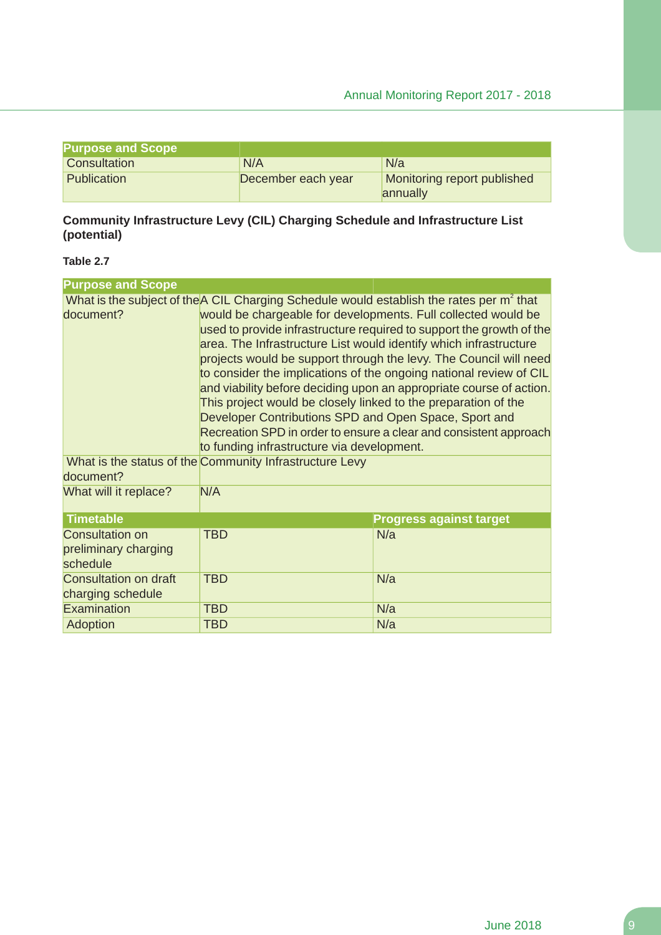| <b>Purpose and Scope</b> |                    |                                         |
|--------------------------|--------------------|-----------------------------------------|
| Consultation             | N/A                | N/a                                     |
| Publication              | December each year | Monitoring report published<br>annually |

### **Community Infrastructure Levy (CIL) Charging Schedule and Infrastructure List (potential)**

#### **Table 2.7**

| <b>Purpose and Scope</b>                                   |                                                                                                                                                                                                                                                                                                                                                                                                                                                                                                                                                                                                                                                                                                                                                                                                                                               |                                |  |
|------------------------------------------------------------|-----------------------------------------------------------------------------------------------------------------------------------------------------------------------------------------------------------------------------------------------------------------------------------------------------------------------------------------------------------------------------------------------------------------------------------------------------------------------------------------------------------------------------------------------------------------------------------------------------------------------------------------------------------------------------------------------------------------------------------------------------------------------------------------------------------------------------------------------|--------------------------------|--|
| document?                                                  | What is the subject of the A CIL Charging Schedule would establish the rates per m <sup>2</sup> that<br>would be chargeable for developments. Full collected would be<br>used to provide infrastructure required to support the growth of the<br>area. The Infrastructure List would identify which infrastructure<br>projects would be support through the levy. The Council will need<br>to consider the implications of the ongoing national review of CIL<br>and viability before deciding upon an appropriate course of action.<br>This project would be closely linked to the preparation of the<br>Developer Contributions SPD and Open Space, Sport and<br>Recreation SPD in order to ensure a clear and consistent approach<br>to funding infrastructure via development.<br>What is the status of the Community Infrastructure Levy |                                |  |
| document?                                                  |                                                                                                                                                                                                                                                                                                                                                                                                                                                                                                                                                                                                                                                                                                                                                                                                                                               |                                |  |
| What will it replace?                                      | N/A                                                                                                                                                                                                                                                                                                                                                                                                                                                                                                                                                                                                                                                                                                                                                                                                                                           |                                |  |
| <b>Timetable</b>                                           |                                                                                                                                                                                                                                                                                                                                                                                                                                                                                                                                                                                                                                                                                                                                                                                                                                               | <b>Progress against target</b> |  |
| <b>Consultation on</b><br>preliminary charging<br>schedule | <b>TBD</b>                                                                                                                                                                                                                                                                                                                                                                                                                                                                                                                                                                                                                                                                                                                                                                                                                                    | N/a                            |  |
| <b>Consultation on draft</b><br>charging schedule          | <b>TBD</b>                                                                                                                                                                                                                                                                                                                                                                                                                                                                                                                                                                                                                                                                                                                                                                                                                                    | N/a                            |  |
| Examination                                                | <b>TBD</b>                                                                                                                                                                                                                                                                                                                                                                                                                                                                                                                                                                                                                                                                                                                                                                                                                                    | N/a                            |  |
| Adoption                                                   | <b>TBD</b>                                                                                                                                                                                                                                                                                                                                                                                                                                                                                                                                                                                                                                                                                                                                                                                                                                    | N/a                            |  |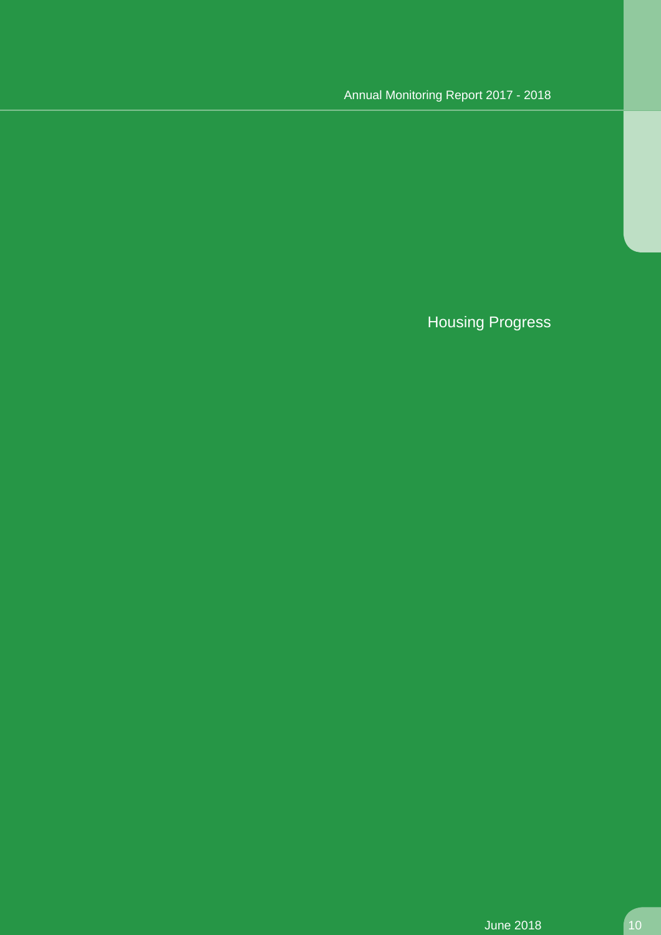# Housing Progress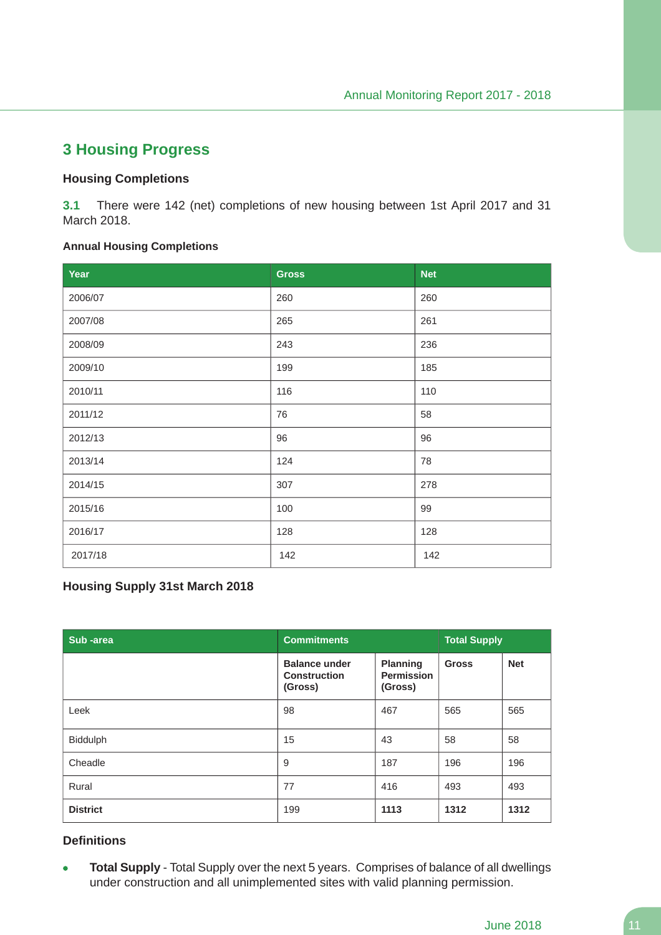# **3 Housing Progress**

#### **Housing Completions**

**3.1** There were 142 (net) completions of new housing between 1st April 2017 and 31 March 2018.

#### **Annual Housing Completions**

| Year    | <b>Gross</b> | <b>Net</b> |
|---------|--------------|------------|
| 2006/07 | 260          | 260        |
| 2007/08 | 265          | 261        |
| 2008/09 | 243          | 236        |
| 2009/10 | 199          | 185        |
| 2010/11 | 116          | 110        |
| 2011/12 | 76           | 58         |
| 2012/13 | 96           | 96         |
| 2013/14 | 124          | 78         |
| 2014/15 | 307          | 278        |
| 2015/16 | 100          | 99         |
| 2016/17 | 128          | 128        |
| 2017/18 | 142          | 142        |

#### **Housing Supply 31st March 2018**

| Sub-area        | <b>Commitments</b>                                     |                                                 | <b>Total Supply</b> |            |
|-----------------|--------------------------------------------------------|-------------------------------------------------|---------------------|------------|
|                 | <b>Balance under</b><br><b>Construction</b><br>(Gross) | <b>Planning</b><br><b>Permission</b><br>(Gross) | <b>Gross</b>        | <b>Net</b> |
| Leek            | 98                                                     | 467                                             | 565                 | 565        |
| Biddulph        | 15                                                     | 43                                              | 58                  | 58         |
| Cheadle         | 9                                                      | 187                                             | 196                 | 196        |
| Rural           | 77                                                     | 416                                             | 493                 | 493        |
| <b>District</b> | 199                                                    | 1113                                            | 1312                | 1312       |

#### **Definitions**

**Total Supply** - Total Supply over the next 5 years. Comprises of balance of all dwellings  $\bullet$ under construction and all unimplemented sites with valid planning permission.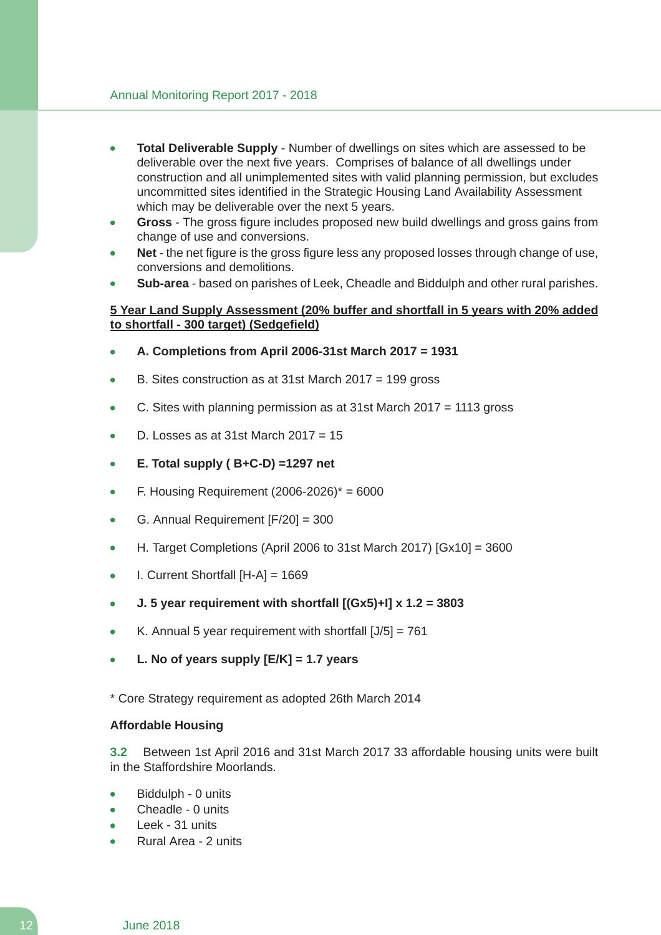- **Total Deliverable Supply** Number of dwellings on sites which are assessed to be deliverable over the next five years. Comprises of balance of all dwellings under construction and all unimplemented sites with valid planning permission, but excludes uncommitted sites identified in the Strategic Housing Land Availability Assessment which may be deliverable over the next 5 years.
- **Gross** The gross figure includes proposed new build dwellings and gross gains from change of use and conversions.
- **Net** the net figure is the gross figure less any proposed losses through change of use, conversions and demolitions.
- **Sub-area** based on parishes of Leek, Cheadle and Biddulph and other rural parishes.

#### **5 Year Land Supply Assessment (20% buffer and shortfall in 5 years with 20% added to shortfall - 300 target) (Sedgefield)**

- **A. Completions from April 2006-31st March 2017 = 1931**
- B. Sites construction as at 31st March 2017 = 199 gross
- C. Sites with planning permission as at 31st March 2017 = 1113 gross
- D. Losses as at 31st March  $2017 = 15$
- **E. Total supply ( B+C-D) =1297 net**
- F. Housing Requirement  $(2006-2026)^* = 6000$
- G. Annual Requirement [F/20] = 300
- H. Target Completions (April 2006 to 31st March 2017) [Gx10] = 3600
- I. Current Shortfall [H-A] = 1669
- **J. 5 year requirement with shortfall [(Gx5)+I] x 1.2 = 3803**
- K. Annual 5 year requirement with shortfall  $[J/5] = 761$
- **L. No of years supply [E/K] = 1.7 years**

\* Core Strategy requirement as adopted 26th March 2014

#### **Affordable Housing**

**3.2** Between 1st April 2016 and 31st March 2017 33 affordable housing units were built in the Staffordshire Moorlands.

- Biddulph 0 units
- Cheadle 0 units
- Leek 31 units
- Rural Area 2 units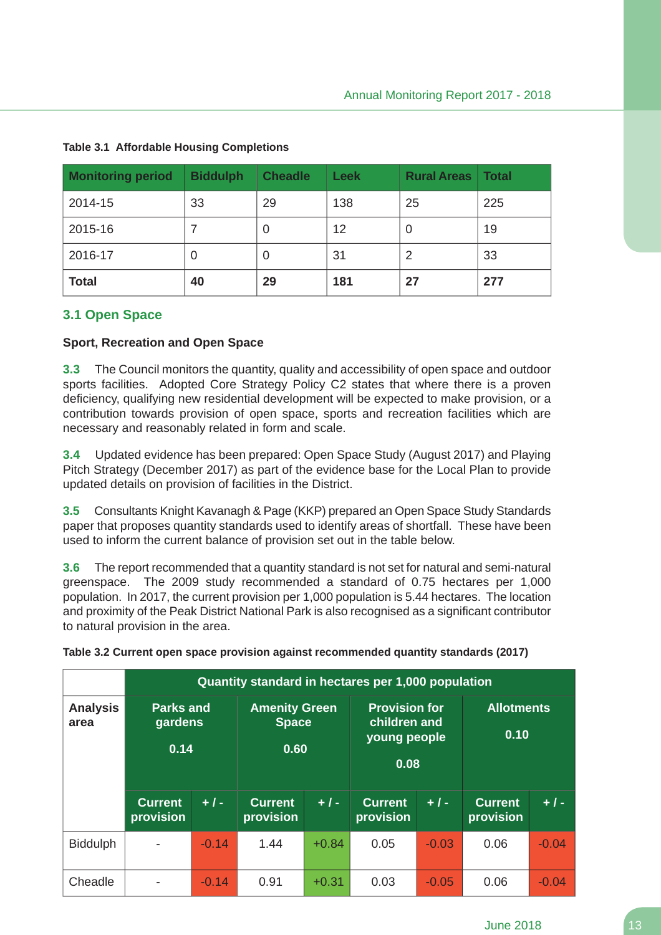| <b>Monitoring period</b> | <b>Biddulph</b> | <b>Cheadle</b> | <b>Leek</b> | <b>Rural Areas</b> | <b>Total</b> |
|--------------------------|-----------------|----------------|-------------|--------------------|--------------|
| 2014-15                  | 33              | 29             | 138         | 25                 | 225          |
| 2015-16                  |                 | O              | 12          | 0                  | 19           |
| 2016-17                  | O               | 0              | 31          | 2                  | 33           |
| <b>Total</b>             | 40              | 29             | 181         | 27                 | 277          |

#### **Table 3.1 Affordable Housing Completions**

### **3.1 Open Space**

#### **Sport, Recreation and Open Space**

**3.3** The Council monitors the quantity, quality and accessibility of open space and outdoor sports facilities. Adopted Core Strategy Policy C2 states that where there is a proven deficiency, qualifying new residential development will be expected to make provision, or a contribution towards provision of open space, sports and recreation facilities which are necessary and reasonably related in form and scale.

**3.4** Updated evidence has been prepared: Open Space Study (August 2017) and Playing Pitch Strategy (December 2017) as part of the evidence base for the Local Plan to provide updated details on provision of facilities in the District.

**3.5** Consultants Knight Kavanagh & Page (KKP) prepared an Open Space Study Standards paper that proposes quantity standards used to identify areas of shortfall. These have been used to inform the current balance of provision set out in the table below.

**3.6** The report recommended that a quantity standard is not set for natural and semi-natural greenspace. The 2009 study recommended a standard of 0.75 hectares per 1,000 population. In 2017, the current provision per 1,000 population is 5.44 hectares. The location and proximity of the Peak District National Park is also recognised as a significant contributor to natural provision in the area.

|                         |                                     |         | Quantity standard in hectares per 1,000 population |         |                                                              |         |                             |         |
|-------------------------|-------------------------------------|---------|----------------------------------------------------|---------|--------------------------------------------------------------|---------|-----------------------------|---------|
| <b>Analysis</b><br>area | <b>Parks and</b><br>gardens<br>0.14 |         | <b>Amenity Green</b><br><b>Space</b><br>0.60       |         | <b>Provision for</b><br>children and<br>young people<br>0.08 |         | <b>Allotments</b><br>0.10   |         |
|                         | <b>Current</b><br>provision         | $+1-$   | <b>Current</b><br>provision                        | $+1-$   | <b>Current</b><br>provision                                  | $+1-$   | <b>Current</b><br>provision | $+1-$   |
| <b>Biddulph</b>         |                                     | $-0.14$ | 1.44                                               | $+0.84$ | 0.05                                                         | $-0.03$ | 0.06                        | $-0.04$ |
| Cheadle                 |                                     | $-0.14$ | 0.91                                               | $+0.31$ | 0.03                                                         | $-0.05$ | 0.06                        | $-0.04$ |

**Table 3.2 Current open space provision against recommended quantity standards (2017)**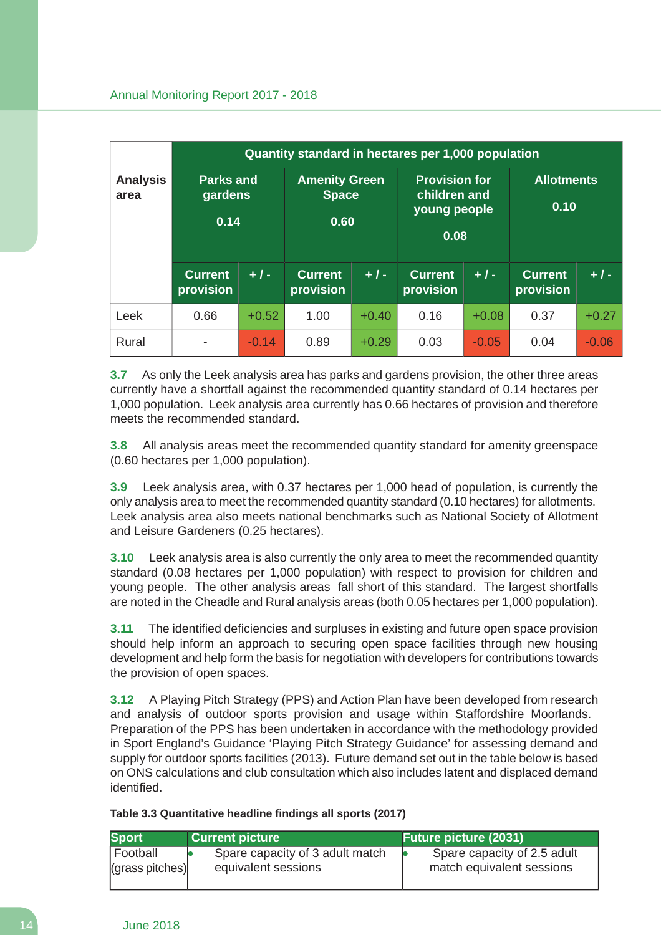|                         |                                     |         | Quantity standard in hectares per 1,000 population |         |                                                              |         |                             |         |
|-------------------------|-------------------------------------|---------|----------------------------------------------------|---------|--------------------------------------------------------------|---------|-----------------------------|---------|
| <b>Analysis</b><br>area | <b>Parks and</b><br>gardens<br>0.14 |         | <b>Amenity Green</b><br><b>Space</b><br>0.60       |         | <b>Provision for</b><br>children and<br>young people<br>0.08 |         | <b>Allotments</b><br>0.10   |         |
|                         | <b>Current</b><br>provision         | $+1-$   | <b>Current</b><br>provision                        | $+1-$   | <b>Current</b><br>provision                                  | $+1-$   | <b>Current</b><br>provision | $+1-$   |
| Leek                    | 0.66                                | $+0.52$ | 1.00                                               | $+0.40$ | 0.16                                                         | $+0.08$ | 0.37                        | $+0.27$ |
| Rural                   | ٠                                   | $-0.14$ | 0.89                                               | $+0.29$ | 0.03                                                         | $-0.05$ | 0.04                        | $-0.06$ |

**3.7** As only the Leek analysis area has parks and gardens provision, the other three areas currently have a shortfall against the recommended quantity standard of 0.14 hectares per 1,000 population. Leek analysis area currently has 0.66 hectares of provision and therefore meets the recommended standard.

**3.8** All analysis areas meet the recommended quantity standard for amenity greenspace (0.60 hectares per 1,000 population).

**3.9** Leek analysis area, with 0.37 hectares per 1,000 head of population, is currently the only analysis area to meet the recommended quantity standard (0.10 hectares) for allotments. Leek analysis area also meets national benchmarks such as National Society of Allotment and Leisure Gardeners (0.25 hectares).

**3.10** Leek analysis area is also currently the only area to meet the recommended quantity standard (0.08 hectares per 1,000 population) with respect to provision for children and young people. The other analysis areas fall short of this standard. The largest shortfalls are noted in the Cheadle and Rural analysis areas (both 0.05 hectares per 1,000 population).

**3.11** The identified deficiencies and surpluses in existing and future open space provision should help inform an approach to securing open space facilities through new housing development and help form the basis for negotiation with developers for contributions towards the provision of open spaces.

**3.12** A Playing Pitch Strategy (PPS) and Action Plan have been developed from research and analysis of outdoor sports provision and usage within Staffordshire Moorlands. Preparation of the PPS has been undertaken in accordance with the methodology provided in Sport England's Guidance 'Playing Pitch Strategy Guidance' for assessing demand and supply for outdoor sports facilities (2013). Future demand set out in the table below is based on ONS calculations and club consultation which also includes latent and displaced demand identified.

**Table 3.3 Quantitative headline findings all sports (2017)**

| <b>Sport</b>                                | <b>Current picture</b>                                 | <b>Future picture (2031)</b>                             |
|---------------------------------------------|--------------------------------------------------------|----------------------------------------------------------|
| Football<br>$\vert$ (grass pitches) $\vert$ | Spare capacity of 3 adult match<br>equivalent sessions | Spare capacity of 2.5 adult<br>match equivalent sessions |
|                                             |                                                        |                                                          |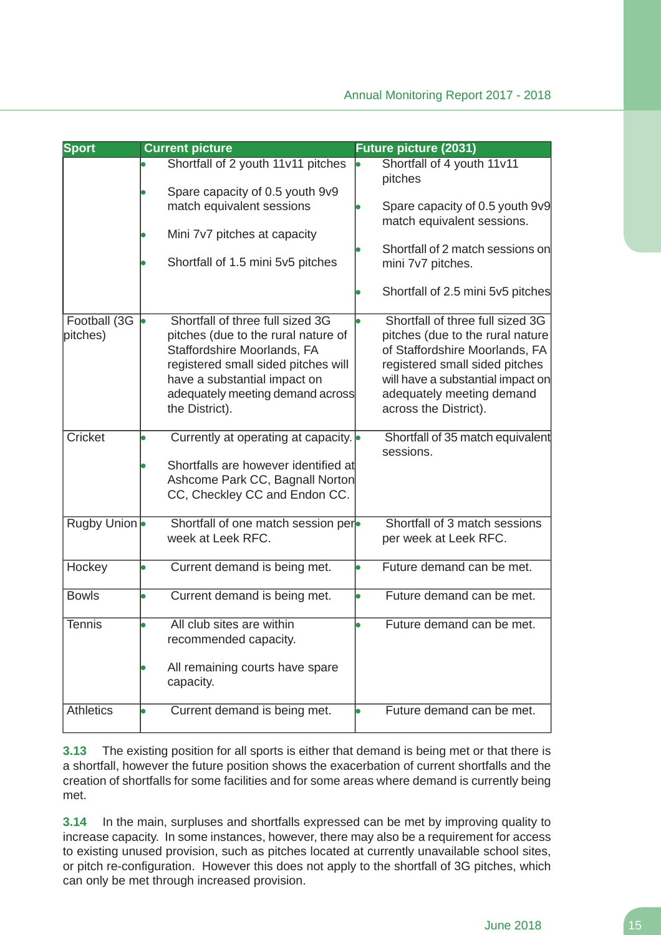| <b>Sport</b>             | <b>Current picture</b>                                                                                                                                                                                                              | <b>Future picture (2031)</b>                                                                                                                                                                                                        |
|--------------------------|-------------------------------------------------------------------------------------------------------------------------------------------------------------------------------------------------------------------------------------|-------------------------------------------------------------------------------------------------------------------------------------------------------------------------------------------------------------------------------------|
|                          | Shortfall of 2 youth 11v11 pitches<br>Spare capacity of 0.5 youth 9v9                                                                                                                                                               | Shortfall of 4 youth 11v11<br>pitches                                                                                                                                                                                               |
|                          | match equivalent sessions                                                                                                                                                                                                           | Spare capacity of 0.5 youth 9v9<br>match equivalent sessions.                                                                                                                                                                       |
|                          | Mini 7v7 pitches at capacity<br>Shortfall of 1.5 mini 5v5 pitches                                                                                                                                                                   | Shortfall of 2 match sessions on                                                                                                                                                                                                    |
|                          |                                                                                                                                                                                                                                     | mini 7v7 pitches.<br>Shortfall of 2.5 mini 5v5 pitches                                                                                                                                                                              |
| Football (3G<br>pitches) | Shortfall of three full sized 3G<br>pitches (due to the rural nature of<br>Staffordshire Moorlands, FA<br>registered small sided pitches will<br>have a substantial impact on<br>adequately meeting demand across<br>the District). | Shortfall of three full sized 3G<br>pitches (due to the rural nature<br>of Staffordshire Moorlands, FA<br>registered small sided pitches<br>will have a substantial impact on<br>adequately meeting demand<br>across the District). |
| Cricket                  | Currently at operating at capacity.<br>Shortfalls are however identified at<br>Ashcome Park CC, Bagnall Norton<br>CC, Checkley CC and Endon CC.                                                                                     | Shortfall of 35 match equivalent<br>sessions.                                                                                                                                                                                       |
| Rugby Union              | Shortfall of one match session per-<br>week at Leek RFC.                                                                                                                                                                            | Shortfall of 3 match sessions<br>per week at Leek RFC.                                                                                                                                                                              |
| Hockey                   | Current demand is being met.                                                                                                                                                                                                        | Future demand can be met.                                                                                                                                                                                                           |
| <b>Bowls</b>             | Current demand is being met.                                                                                                                                                                                                        | Future demand can be met.                                                                                                                                                                                                           |
| <b>Tennis</b>            | All club sites are within<br>recommended capacity.                                                                                                                                                                                  | Future demand can be met.                                                                                                                                                                                                           |
|                          | All remaining courts have spare<br>capacity.                                                                                                                                                                                        |                                                                                                                                                                                                                                     |
| <b>Athletics</b>         | Current demand is being met.                                                                                                                                                                                                        | Future demand can be met.                                                                                                                                                                                                           |

**3.13** The existing position for all sports is either that demand is being met or that there is a shortfall, however the future position shows the exacerbation of current shortfalls and the creation of shortfalls for some facilities and for some areas where demand is currently being met.

**3.14** In the main, surpluses and shortfalls expressed can be met by improving quality to increase capacity. In some instances, however, there may also be a requirement for access to existing unused provision, such as pitches located at currently unavailable school sites, or pitch re-configuration. However this does not apply to the shortfall of 3G pitches, which can only be met through increased provision.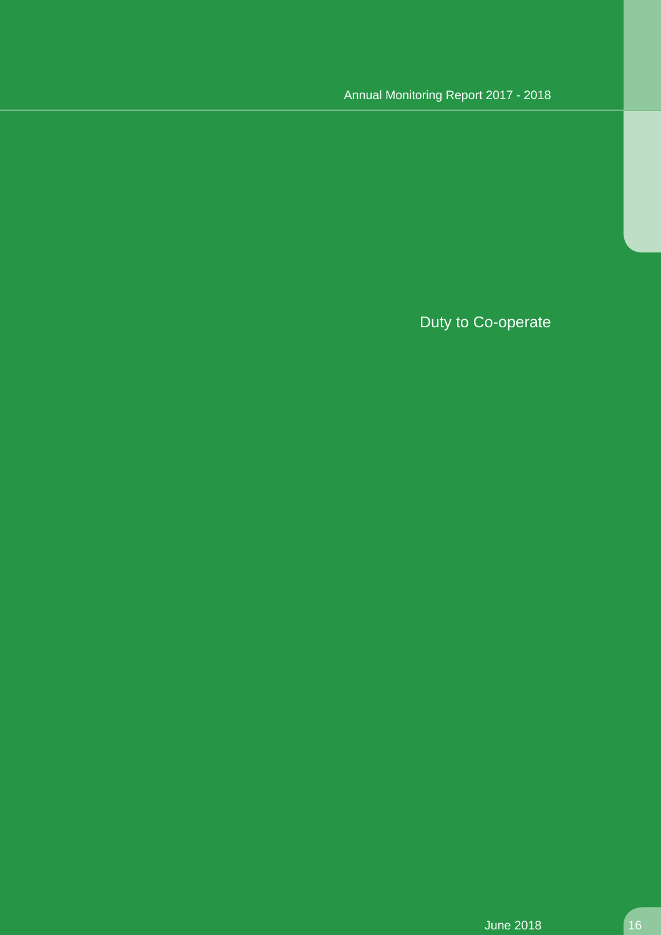# Duty to Co-operate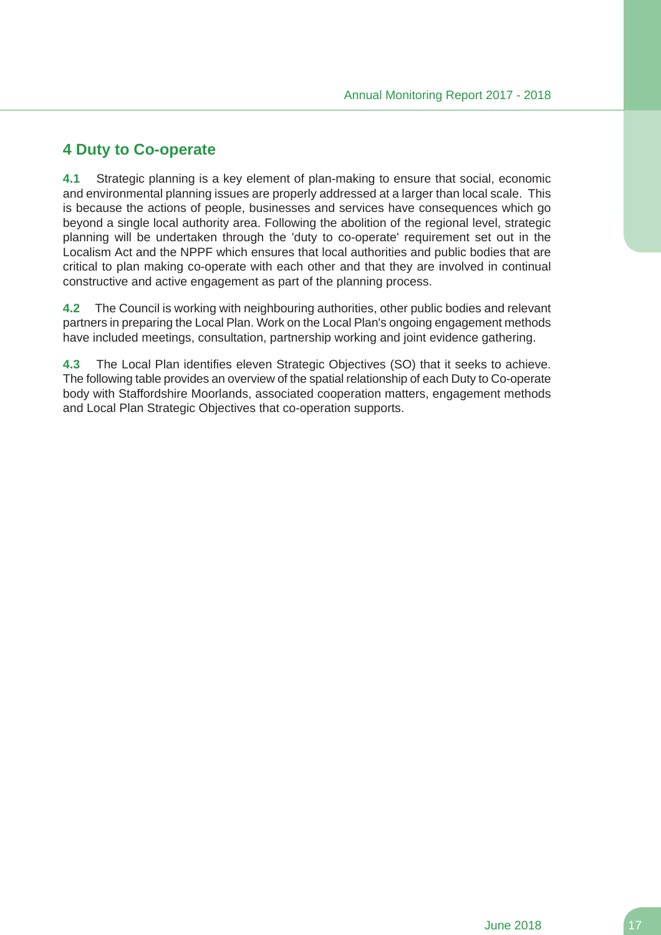# **4 Duty to Co-operate**

**4.1** Strategic planning is a key element of plan-making to ensure that social, economic and environmental planning issues are properly addressed at a larger than local scale. This is because the actions of people, businesses and services have consequences which go beyond a single local authority area. Following the abolition of the regional level, strategic planning will be undertaken through the 'duty to co-operate' requirement set out in the Localism Act and the NPPF which ensures that local authorities and public bodies that are critical to plan making co-operate with each other and that they are involved in continual constructive and active engagement as part of the planning process.

**4.2** The Council is working with neighbouring authorities, other public bodies and relevant partners in preparing the Local Plan. Work on the Local Plan's ongoing engagement methods have included meetings, consultation, partnership working and joint evidence gathering.

**4.3** The Local Plan identifies eleven Strategic Objectives (SO) that it seeks to achieve. The following table provides an overview of the spatial relationship of each Duty to Co-operate body with Staffordshire Moorlands, associated cooperation matters, engagement methods and Local Plan Strategic Objectives that co-operation supports.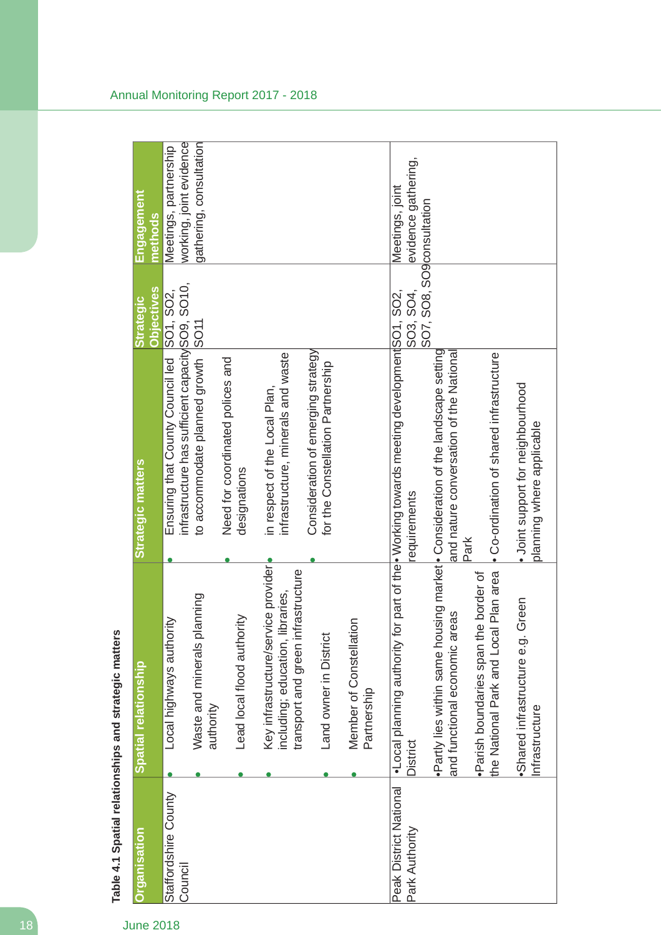| <b>Organisation</b>                      | Spatial relationship                                                                                          | <b>Strategic matters</b>                                                                                                    | <b>Objectives</b><br><b>Strategic</b> | <u>Engagement</u><br>methods                     |
|------------------------------------------|---------------------------------------------------------------------------------------------------------------|-----------------------------------------------------------------------------------------------------------------------------|---------------------------------------|--------------------------------------------------|
| Staffordshire County<br>Council          | Local highways authority                                                                                      | infrastructure has sufficient capacity SO9, SO10,<br>Ensuring that County Council led                                       | SO1, SO2,                             | working, joint evidence<br>Meetings, partnership |
|                                          | Waste and minerals planning<br>authority                                                                      | to accommodate planned growth SO11                                                                                          |                                       | gathering, consultation                          |
|                                          | Lead local flood authority                                                                                    | Need for coordinated polices and<br>designations                                                                            |                                       |                                                  |
|                                          | Key infrastructure/service provider<br>transport and green infrastructure<br>including; education, libraries, | infrastructure, minerals and waste<br>in respect of the Local Plan,                                                         |                                       |                                                  |
|                                          | Land owner in Distric                                                                                         | Consideration of emerging strategy<br>for the Constellation Partnership                                                     |                                       |                                                  |
|                                          | Member of Constellation<br>Partnership                                                                        |                                                                                                                             |                                       |                                                  |
| Peak District National<br>Park Authority | •Local planning authority<br>District                                                                         | for part of the <b>Working</b> towards meeting development SO2,<br>requirements                                             | SO3, SO4,                             | evidence gathering,<br>Meetings, joint           |
|                                          | and functional economic areas                                                                                 | ·Partly lies within same housing market • Consideration of the landscape setting<br>and nature conversation of the National | SO7, SO8, SO9consultation             |                                                  |
|                                          | the National Park and Local Plan area<br>·Parish boundaries span the border of                                | • Co-ordination of shared infrastructure<br>Park                                                                            |                                       |                                                  |
|                                          | Green<br>·Shared infrastructure e.g.<br>Infrastructure                                                        | · Joint support for neighbourhood<br>planning where applicable                                                              |                                       |                                                  |

Table 4.1 Spatial relationships and strategic matters **Table 4.1 Spatial relationships and strategic matters**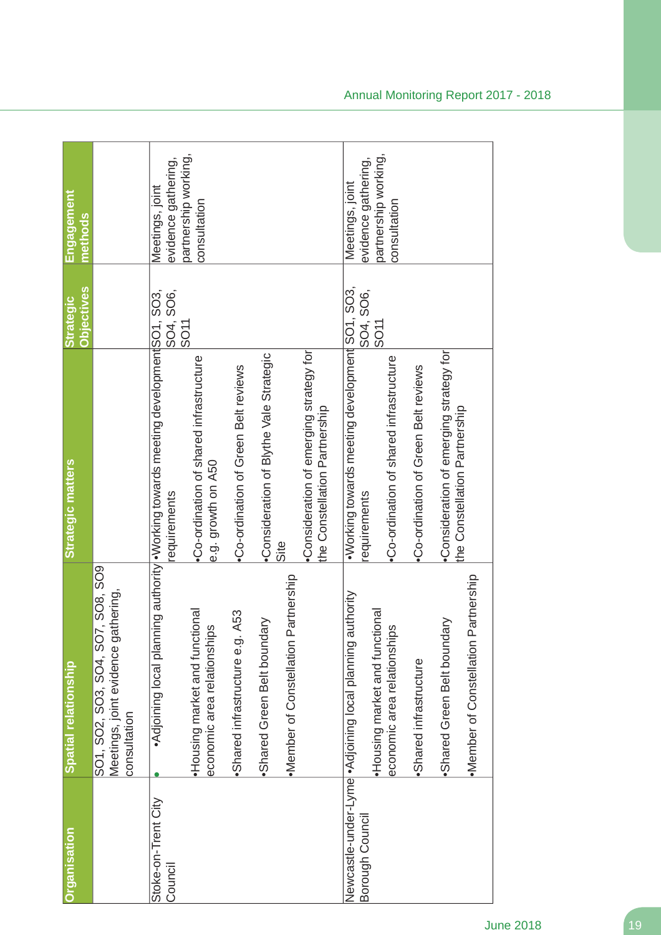| Organisation                   | Spatial relationship                                                                            | Strategic matters                                                                                 | <b>Objectives</b><br><b>Strategic</b> | Engagement<br>methods                  |
|--------------------------------|-------------------------------------------------------------------------------------------------|---------------------------------------------------------------------------------------------------|---------------------------------------|----------------------------------------|
|                                | SO1, SO2, SO3, SO4, SO7, SO8, SO9<br>Meetings, joint evidence gathering,<br>consultation        |                                                                                                   |                                       |                                        |
| Stoke-on-Trent City<br>Council |                                                                                                 | •Adjoining local planning authority •Working towards meeting developmentSO1, SO3,<br>requirements | SO <sub>11</sub>                      | evidence gathering,<br>Meetings, joint |
|                                | Housing market and functional<br>economic area relationships                                    | •Co-ordination of shared infrastructure<br>e.g. growth on A50                                     |                                       | partnership working,<br>consultation   |
|                                | A53<br>·Shared infrastructure e.g.                                                              | •Co-ordination of Green Belt reviews                                                              |                                       |                                        |
|                                | Shared Green Belt boundary                                                                      | •Consideration of Blythe Vale Strategic                                                           |                                       |                                        |
|                                | Partnership<br>•Member of Constellation                                                         | Site                                                                                              |                                       |                                        |
|                                |                                                                                                 | Consideration of emerging strategy for<br>the Constellation Partnership                           |                                       |                                        |
| Borough Council                | Newcastle-under-Lyme • Adjoining local planning authority<br>tional<br>Housing market and funct | ·Working towards meeting development SO1, SO3,<br>equirements                                     | SO4, SO6,                             | evidence gathering,<br>Meetings, joint |
|                                | economic area relationships                                                                     | •Co-ordination of shared infrastructure                                                           | SO11                                  | partnership working,<br>consultation   |
|                                | ·Shared infrastructure                                                                          | •Co-ordination of Green Belt reviews                                                              |                                       |                                        |
|                                | Partnership<br>Shared Green Belt boundary<br>·Member of Constellation                           | •Consideration of emerging strategy for<br>the Constellation Partnership                          |                                       |                                        |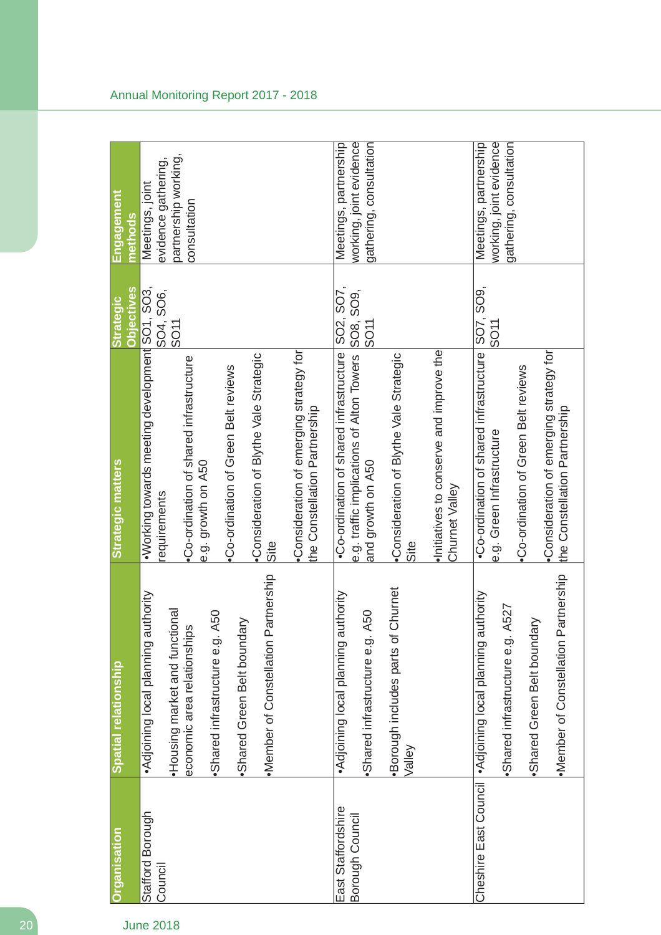| Organisation                          | Spatial relationship                                                                                                                                                                                              | Strategic matters                                                                                                                                                                                                                                                                                      | <b>Objectives</b><br><b>Strategic</b> | Engagement<br>methods                                                          |
|---------------------------------------|-------------------------------------------------------------------------------------------------------------------------------------------------------------------------------------------------------------------|--------------------------------------------------------------------------------------------------------------------------------------------------------------------------------------------------------------------------------------------------------------------------------------------------------|---------------------------------------|--------------------------------------------------------------------------------|
| Stafford Borough<br>Council           | Partnership<br>authority<br>•Housing market and functional<br>Shared infrastructure e.g. A50<br>Shared Green Belt boundary<br>economic area relationships<br>Adjoining local planning<br>·Member of Constellation | .Working towards meeting development SO1, SO3,<br>•Consideration of emerging strategy for<br>•Consideration of Blythe Vale Strategic<br>•Co-ordination of shared infrastructure<br>.Co-ordination of Green Belt reviews<br>the Constellation Partnership<br>e.g. growth on A50<br>requirements<br>Site | SO4, SO6,<br>SO11                     | partnership working,<br>evidence gathering,<br>Meetings, joint<br>consultation |
| East Staffordshire<br>Borough Council | ·Borough includes parts of Churnet<br>authority<br>Shared infrastructure e.g. A50<br>Adjoining local planning<br>Valley                                                                                           | e.g. traffic implications of Alton Towers SO8, SO9,<br>and growth on A50<br>Initiatives to conserve and improve the<br>.Co-ordination of shared infrastructure<br>•Consideration of Blythe Vale Strategic<br>and growth on A50<br>Churnet Valley<br>Site                                               | SO2, SO7,                             | working, joint evidence<br>Meetings, partnership<br>gathering, consultation    |
|                                       | Partnership<br>authority<br>Shared infrastructure e.g. A527<br>Shared Green Belt boundary<br>Cheshire East Council   Adjoining local planning<br>·Member of Constellation                                         | .Co-ordination of shared infrastructure SO7, SO9,<br>Consideration of emerging strategy for<br>•Co-ordination of Green Belt reviews<br>the Constellation Partnership<br>e.g. Green Infrastructure                                                                                                      | SO <sub>11</sub>                      | working, joint evidence<br>gathering, consultation<br>Meetings, partnership    |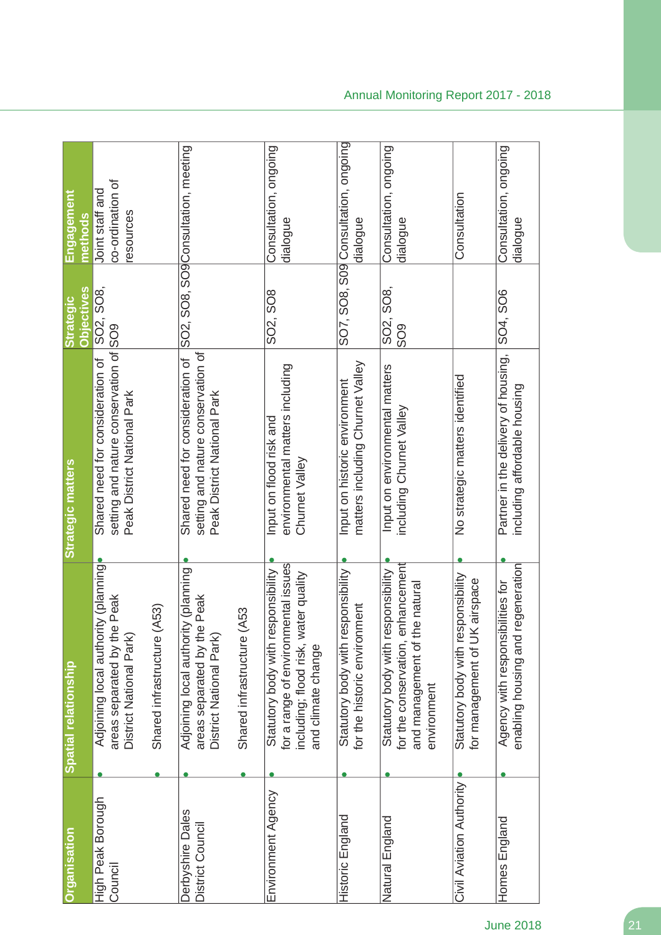| <b>Organisation</b>                  | Spatial relationship                                                                                                                    | <b>Strategic matters</b>                                                                                  | <b>Objectives</b><br><b>Strategic</b>      | <u>Engagement</u><br>methods                     |
|--------------------------------------|-----------------------------------------------------------------------------------------------------------------------------------------|-----------------------------------------------------------------------------------------------------------|--------------------------------------------|--------------------------------------------------|
| High Peak Borough<br>Council         | Adjoining local authority (planning)<br>ne Peak<br>areas separated by th<br>District National Park)                                     | setting and nature conservation of SO9<br>Shared need for consideration of<br>Peak District National Park | SO2, SO8,                                  | co-ordination of<br>Joint staff and<br>resources |
|                                      | (A53)<br>Shared infrastructure                                                                                                          |                                                                                                           |                                            |                                                  |
| Derbyshire Dales<br>District Council | Adjoining local authority (planning<br>areas separated by the Peak<br>District National Park)                                           | setting and nature conservation of<br>Shared need for consideration of<br>Peak District National Park     |                                            | SO2, SO8, SO9Consultation, meeting               |
|                                      | (A53<br>Shared infrastructure                                                                                                           |                                                                                                           |                                            |                                                  |
| Environment Agency                   | for a range of environmental issues<br>Statutory body with responsibility<br>including; flood risk, water quality<br>and climate change | environmental matters including<br>Input on flood risk and<br>Churnet Valley                              | SO2, SO8                                   | Consultation, ongoing<br>dialogue                |
| Historic England                     | Statutory body with responsibility<br>for the historic environment                                                                      | matters including Churnet Valley<br>Input on historic environment                                         |                                            | SO7, SO8, S09 Consultation, ongoing<br>dialogue  |
| Natural England                      | enhancement<br>Statutory body with responsibility<br>he natural<br>for the conservation,<br>and management of<br>environment            | Input on environmental matters<br>including Churnet Valley                                                | SO <sub>2</sub> , SO <sub>8</sub> ,<br>809 | Consultation, ongoing<br>dialogue                |
| Civil Aviation Authority             | Statutory body with responsibility<br>for management of UK airspace                                                                     | No strategic matters identified                                                                           |                                            | Consultation                                     |
| Homes England                        | regeneration<br>Agency with responsibilities for<br>enabling housing and                                                                | Partner in the delivery of housing,<br>including affordable housing                                       | SO4, SO6                                   | Consultation, ongoing<br>dialogue                |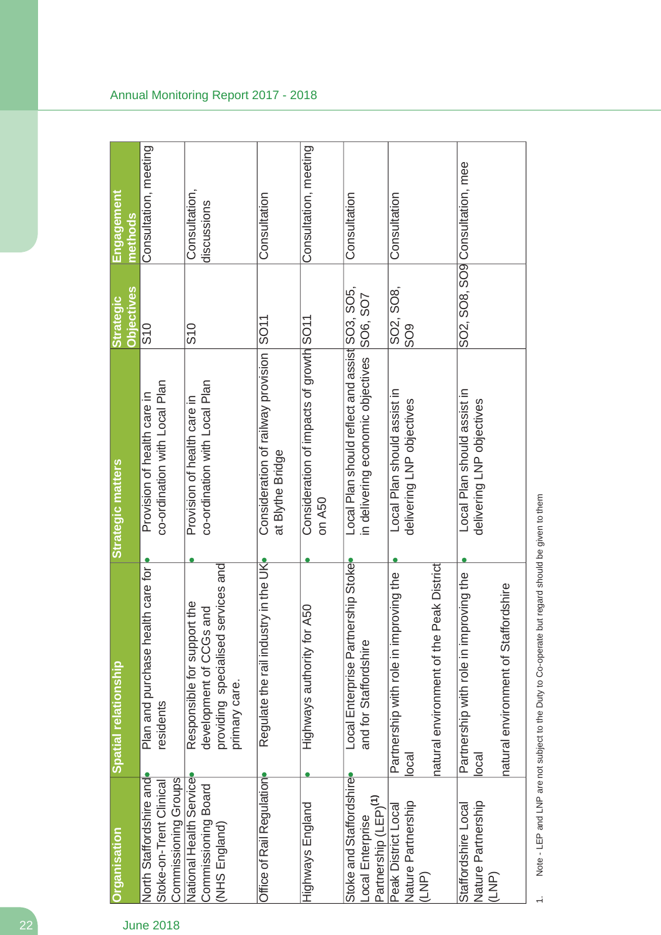| Organisation                                                                    | Spatial relationship                                                                                             | Strategic matters                                                                   | <b>Objectives</b><br><b>Strategic</b> | <b>Engagement</b><br>methods    |
|---------------------------------------------------------------------------------|------------------------------------------------------------------------------------------------------------------|-------------------------------------------------------------------------------------|---------------------------------------|---------------------------------|
| North Staffordshire and<br>Commissioning Groups<br>Stoke-on-Trent Clinical      | Plan and purchase health care for<br>residents                                                                   | co-ordination with Local Plan<br>Provision of health care in                        | S10                                   | Consultation, meeting           |
| National Health Service<br>Commissioning Board<br>(NHS England)                 | services and<br>Responsible for support the<br>development of CCGs and<br>providing specialised<br>primary care. | co-ordination with Local Plan<br>Provision of health care in                        | S10                                   | Consultation,<br>discussions    |
| Office of Rail Regulation                                                       | stry in the UK<br>Regulate the rail indu                                                                         | Consideration of railway provision<br>at Blythe Bridge                              | SO11                                  | Consultation                    |
| Highways England                                                                | Highways authority for A50                                                                                       | Consideration of impacts of growth SO11<br>on A50                                   |                                       | Consultation, meeting           |
| Stoke and Staffordshire<br>Partnership (LEP) <sup>(1)</sup><br>Local Enterprise | Local Enterprise Partnership Stoke<br>and for Staffordshire                                                      | Local Plan should reflect and assist SO3, SO5,<br>in delivering economic objectives | SO6, SO7                              | Consultation                    |
| Nature Partnership<br>Peak District Local<br>(LNP)                              | Peak District<br>an grivoring<br>Partnership with role in im<br>natural environment of the<br> occ               | Local Plan should assist in<br>delivering LNP objectives                            | SO2, SO8,<br>SO <sub>9</sub>          | Consultation                    |
| Nature Partnership<br>Staffordshire Local<br>(LNP)                              | Partnership with role in improving the<br>natural environment of Staffordshire<br>local                          | Local Plan should assist in<br>delivering LNP objectives                            |                                       | SO2, SO8, SO9 Consultation, mee |

Note - LEP and LNP are not subject to the Duty to Co-operate but regard should be given to them 1. Note - LEP and LNP are not subject to the Duty to Co-operate but regard should be given to them

 $\div$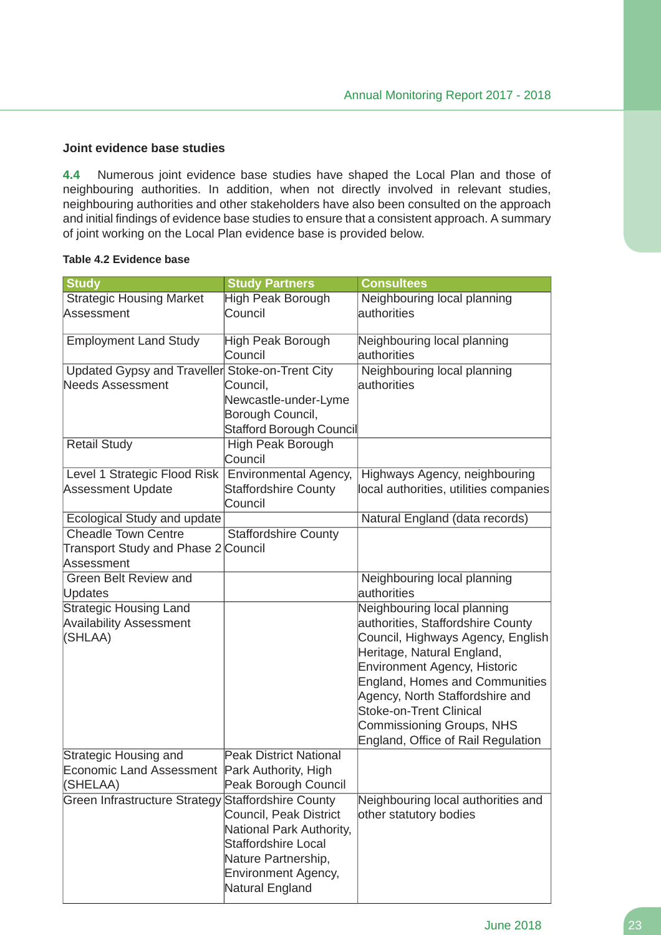#### **Joint evidence base studies**

**4.4** Numerous joint evidence base studies have shaped the Local Plan and those of neighbouring authorities. In addition, when not directly involved in relevant studies, neighbouring authorities and other stakeholders have also been consulted on the approach and initial findings of evidence base studies to ensure that a consistent approach. A summary of joint working on the Local Plan evidence base is provided below.

#### **Table 4.2 Evidence base**

| <b>Study</b>                                    | <b>Study Partners</b>                                  | <b>Consultees</b>                      |
|-------------------------------------------------|--------------------------------------------------------|----------------------------------------|
| <b>Strategic Housing Market</b>                 | High Peak Borough                                      | Neighbouring local planning            |
| Assessment                                      | Council                                                | authorities                            |
| <b>Employment Land Study</b>                    | High Peak Borough                                      | Neighbouring local planning            |
|                                                 | Council                                                | authorities                            |
| Updated Gypsy and Traveller Stoke-on-Trent City |                                                        | Neighbouring local planning            |
| <b>Needs Assessment</b>                         | Council,                                               | authorities                            |
|                                                 | Newcastle-under-Lyme                                   |                                        |
|                                                 | Borough Council,                                       |                                        |
|                                                 | Stafford Borough Council                               |                                        |
| <b>Retail Study</b>                             | <b>High Peak Borough</b>                               |                                        |
|                                                 | Council                                                |                                        |
| Level 1 Strategic Flood Risk                    | Environmental Agency,                                  | Highways Agency, neighbouring          |
| <b>Assessment Update</b>                        | <b>Staffordshire County</b><br>Council                 | local authorities, utilities companies |
| Ecological Study and update                     |                                                        | Natural England (data records)         |
| <b>Cheadle Town Centre</b>                      | <b>Staffordshire County</b>                            |                                        |
| Transport Study and Phase 2 Council             |                                                        |                                        |
| Assessment                                      |                                                        |                                        |
| <b>Green Belt Review and</b>                    |                                                        | Neighbouring local planning            |
| Updates                                         |                                                        | authorities                            |
| <b>Strategic Housing Land</b>                   |                                                        | Neighbouring local planning            |
| <b>Availability Assessment</b>                  |                                                        | authorities, Staffordshire County      |
| (SHLAA)                                         |                                                        | Council, Highways Agency, English      |
|                                                 |                                                        | Heritage, Natural England,             |
|                                                 |                                                        | <b>Environment Agency, Historic</b>    |
|                                                 |                                                        | <b>England, Homes and Communities</b>  |
|                                                 |                                                        | Agency, North Staffordshire and        |
|                                                 |                                                        | <b>Stoke-on-Trent Clinical</b>         |
|                                                 |                                                        | Commissioning Groups, NHS              |
|                                                 |                                                        | England, Office of Rail Regulation     |
| Strategic Housing and                           | <b>Peak District National</b>                          |                                        |
| Economic Land Assessment                        | Park Authority, High                                   |                                        |
| (SHELAA)                                        | Peak Borough Council                                   |                                        |
| Green Infrastructure Strategy                   | <b>Staffordshire County</b>                            | Neighbouring local authorities and     |
|                                                 | Council, Peak District                                 | other statutory bodies                 |
|                                                 | National Park Authority,<br><b>Staffordshire Local</b> |                                        |
|                                                 | Nature Partnership,                                    |                                        |
|                                                 | Environment Agency,                                    |                                        |
|                                                 | Natural England                                        |                                        |
|                                                 |                                                        |                                        |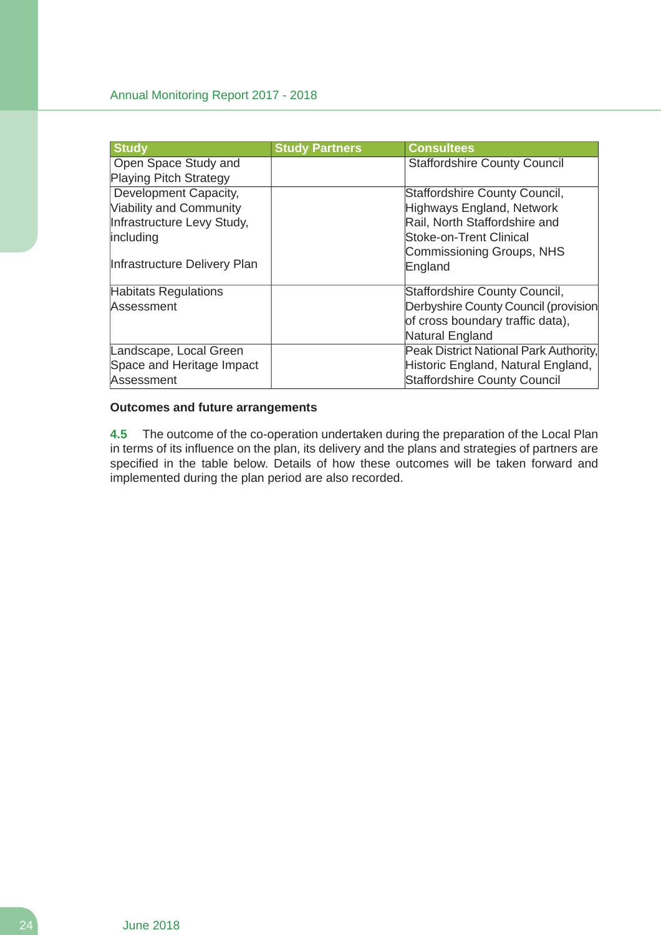| <b>Study</b>                   | <b>Study Partners</b> | <b>Consultees</b>                      |
|--------------------------------|-----------------------|----------------------------------------|
| Open Space Study and           |                       | <b>Staffordshire County Council</b>    |
| <b>Playing Pitch Strategy</b>  |                       |                                        |
| Development Capacity,          |                       | Staffordshire County Council,          |
| <b>Viability and Community</b> |                       | Highways England, Network              |
| Infrastructure Levy Study,     |                       | Rail, North Staffordshire and          |
| including                      |                       | Stoke-on-Trent Clinical                |
|                                |                       | Commissioning Groups, NHS              |
| Infrastructure Delivery Plan   |                       | England                                |
| <b>Habitats Regulations</b>    |                       | Staffordshire County Council,          |
| Assessment                     |                       | Derbyshire County Council (provision   |
|                                |                       | of cross boundary traffic data),       |
|                                |                       | Natural England                        |
| Landscape, Local Green         |                       | Peak District National Park Authority, |
| Space and Heritage Impact      |                       | Historic England, Natural England,     |
| Assessment                     |                       | <b>Staffordshire County Council</b>    |

# **Outcomes and future arrangements**

**4.5** The outcome of the co-operation undertaken during the preparation of the Local Plan in terms of its influence on the plan, its delivery and the plans and strategies of partners are specified in the table below. Details of how these outcomes will be taken forward and implemented during the plan period are also recorded.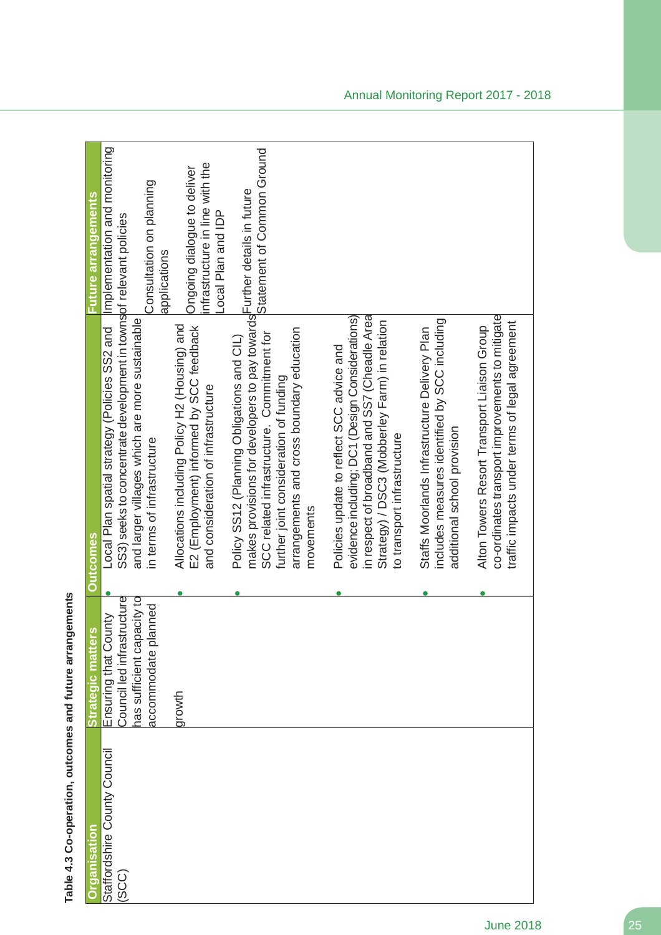| <u>Organisation</u>          | ίŅ,<br>Strategic matter    | <b>Outcomes</b>                                                                                                                     | Future arrangements                                   |
|------------------------------|----------------------------|-------------------------------------------------------------------------------------------------------------------------------------|-------------------------------------------------------|
| Staffordshire County Council | Ensuring that County       | Local Plan spatial strategy (Policies SS2 and                                                                                       | Implementation and monitoring                         |
| (SCC)                        | Council led infrastructure | SS3) seeks to concentrate development in townsof relevant policies                                                                  |                                                       |
|                              | has sufficient capacity to | and larger villages which are more sustainable                                                                                      |                                                       |
|                              | accommodate planned        | in terms of infrastructure                                                                                                          | Consultation on planning<br>applications              |
|                              | growth                     | Allocations including Policy H2 (Housing) and                                                                                       | Ongoing dialogue to deliver                           |
|                              |                            | E2 (Employment) informed by SCC feedback<br>and consideration of infrastructure                                                     | infrastructure in line with the<br>Local Plan and IDP |
|                              |                            | makes provisions for developers to pay towards <sup>I</sup> Further details in future<br>Policy SS12 (Planning Obligations and CIL) |                                                       |
|                              |                            | SCC related infrastructure. Commitment for                                                                                          | Statement of Common Ground                            |
|                              |                            | arrangements and cross boundary education<br>further joint consideration of funding                                                 |                                                       |
|                              |                            | movements                                                                                                                           |                                                       |
|                              |                            | Policies update to reflect SCC advice and                                                                                           |                                                       |
|                              |                            | in respect of broadband and SS7 (Cheadle Area<br>evidence including; DC1 (Design Considerations)                                    |                                                       |
|                              |                            | Strategy) / DSC3 (Mobberley Farm) in relation                                                                                       |                                                       |
|                              |                            | to transport infrastructure                                                                                                         |                                                       |
|                              |                            | Staffs Moorlands Infrastructure Delivery Plan                                                                                       |                                                       |
|                              |                            | includes measures identified by SCC including<br>additional school provision                                                        |                                                       |
|                              |                            |                                                                                                                                     |                                                       |
|                              |                            | Alton Towers Resort Transport Liaison Group                                                                                         |                                                       |
|                              |                            | co-ordinates transport improvements to mitigate<br>traffic impacts under terms of legal agreement                                   |                                                       |
|                              |                            |                                                                                                                                     |                                                       |

Table 4.3 Co-operation, outcomes and future arrangements **Table 4.3 Co-operation, outcomes and future arrangements**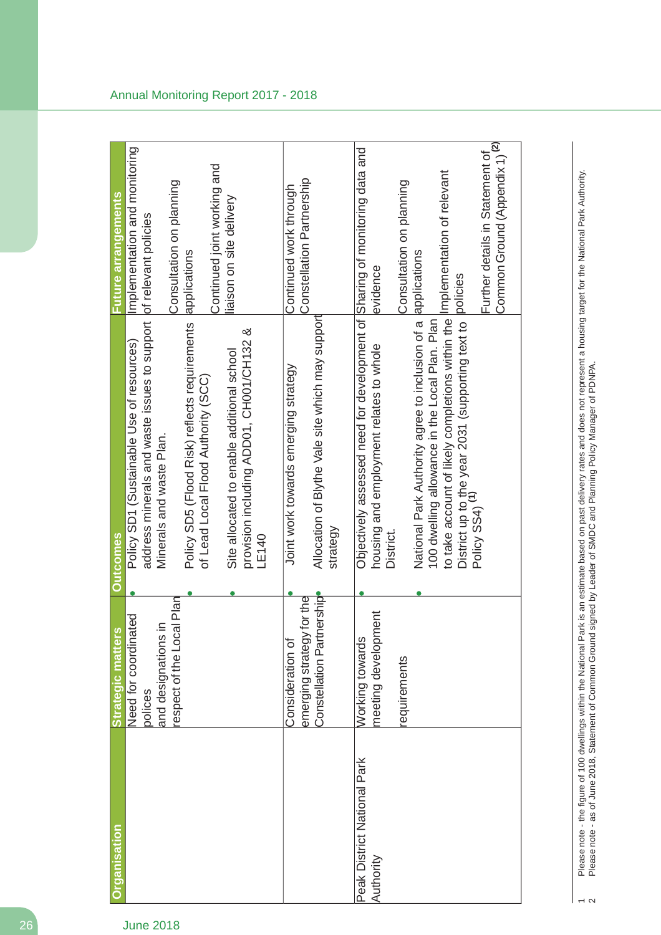| <b>Organisation</b>                      | respect of the Local Plan<br>Need for coordinated<br>$\subseteq$<br><b>Strategic matters</b><br>and designations<br>polices | address minerals and waste issues to support<br>Policy SD5 (Flood Risk) reflects requirements<br>& Strippedia ADDO1/CD1/CH02<br>Policy SD1 (Sustainable Use of resources)<br>Site allocated to enable additional school<br>of Lead Local Flood Authority (SCC)<br>Minerals and waste Plan.<br><b>Outcomes</b>                                                                                             | Implementation and monitoring<br>Continued joint working and<br>Consultation on planning<br>Future arrangements<br>iaison on site delivery<br>of relevant policies<br>applications |
|------------------------------------------|-----------------------------------------------------------------------------------------------------------------------------|-----------------------------------------------------------------------------------------------------------------------------------------------------------------------------------------------------------------------------------------------------------------------------------------------------------------------------------------------------------------------------------------------------------|------------------------------------------------------------------------------------------------------------------------------------------------------------------------------------|
|                                          | lership<br>emerging strategy for the<br>Constellation Partr<br>Consideration of                                             | Allocation of Blythe Vale site which may support<br>Joint work towards emerging strategy<br>strategy<br>LE140                                                                                                                                                                                                                                                                                             | Constellation Partnership<br>Continued work through                                                                                                                                |
| Peak District National Park<br>Authority | hent<br>meeting developm<br>Working towards<br>requirements                                                                 | Objectively assessed need for development of Sharing of monitoring data and<br>to take account of likely completions within the Implementation of relevant<br>100 dwelling allowance in the Local Plan. Plan<br>National Park Authority agree to inclusion of a<br>District up to the year 2031 (supporting text to<br>Policy SS4) <sup>(1)</sup><br>housing and employment relates to whole<br>District. | Common Ground (Appendix 1) <sup>(2)</sup><br>Further details in Statement of<br>Consultation on planning<br>applications<br>evidence<br>policies                                   |
|                                          |                                                                                                                             |                                                                                                                                                                                                                                                                                                                                                                                                           |                                                                                                                                                                                    |

Please note - the figure of 100 dwellings within the National Park is an estimate based on past delivery rates and does not represent a housing target for the National Park Authority.<br>Please note - as of June 2018, Stateme 1 Please note - the figure of 100 dwellings within the National Park is an estimate based on past delivery rates and does not represent a housing target for the National Park Authority. 2 Please note - as of June 2018, Statement of Common Ground signed by Leader of SMDC and Planning Policy Manager of PDNPA.

 $\sim$   $\sim$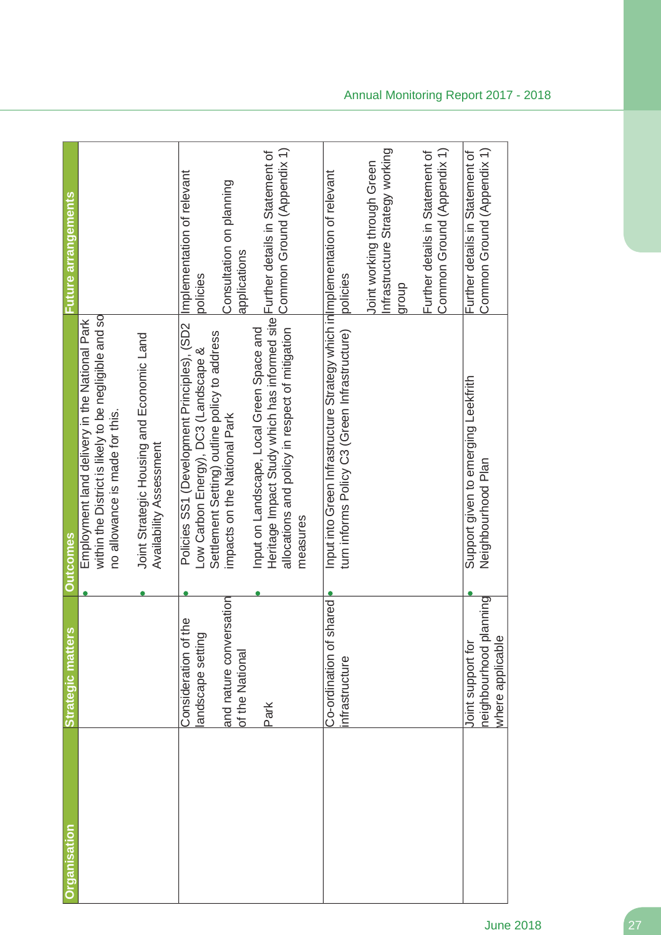| <u> Organisation</u> | <b>Strategic matters</b>                                        | <b>Outcomes</b>                                                                                                                                                                           | ture arrangements                                                       |
|----------------------|-----------------------------------------------------------------|-------------------------------------------------------------------------------------------------------------------------------------------------------------------------------------------|-------------------------------------------------------------------------|
|                      |                                                                 | within the District is likely to be negligible and so<br>Employment land delivery in the National Park<br>no allowance is made for this.                                                  |                                                                         |
|                      |                                                                 | Joint Strategic Housing and Economic Land<br>Availability Assessment                                                                                                                      |                                                                         |
|                      | <u>bd</u><br>Consideration of th<br>andscape setting            | Policies SS1 (Development Principles), (SD2<br>Low Carbon Energy), DC3 (Landscape &                                                                                                       | Implementation of relevant<br>policies                                  |
|                      | sation<br>and nature conver<br>of the National                  | Settlement Setting) outline policy to address<br>impacts on the National Park                                                                                                             | Consultation on planning<br>applications                                |
|                      | Park                                                            | Heritage Impact Study which has informed site Further details in Statement of<br>allocations and policy in respect of mitigation<br>Input on Landscape, Local Green Space and<br>measures | Common Ground (Appendix 1)                                              |
|                      | pared<br>Co-ordination of sl                                    | Input into Green Infrastructure Strategy which in Implementation of relevant                                                                                                              |                                                                         |
|                      | infrastructure                                                  | turn informs Policy C3 (Green Infrastructure)                                                                                                                                             | policies                                                                |
|                      |                                                                 |                                                                                                                                                                                           | Infrastructure Strategy working<br>Joint working through Green<br>dhoub |
|                      |                                                                 |                                                                                                                                                                                           | Common Ground (Appendix 1)<br>Further details in Statement of           |
|                      | neighbourhood planning<br>where applicable<br>Joint support for | Support given to emerging Leekfrith<br>Neighbourhood Plan                                                                                                                                 | Common Ground (Appendix 1)<br>Further details in Statement of           |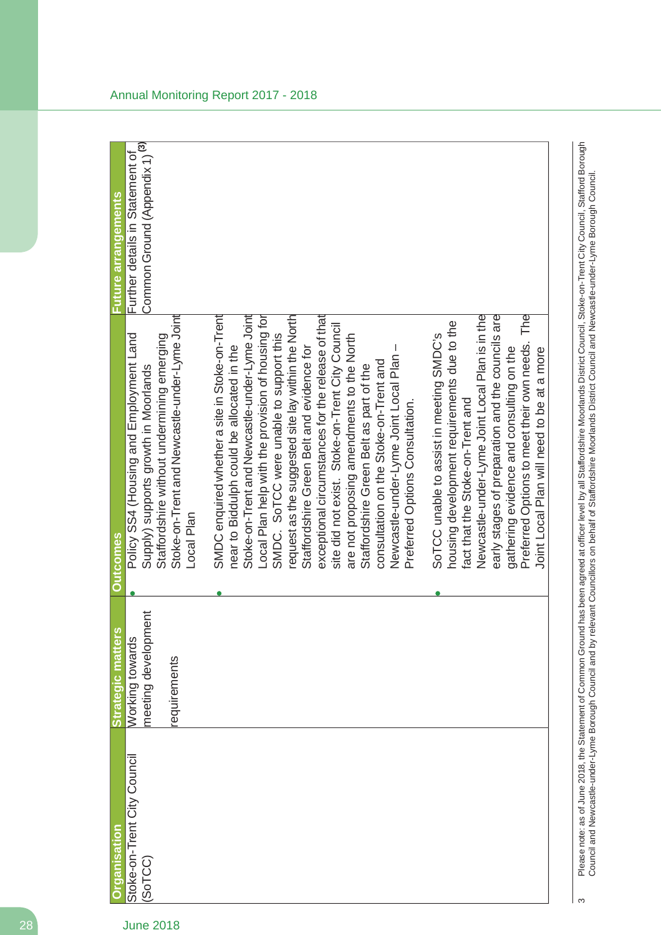| <b>Organisation</b>         | Strategic matters   | <b>Outcomes</b>                                    | Future arrangements                       |
|-----------------------------|---------------------|----------------------------------------------------|-------------------------------------------|
| Stoke-on-Trent City Council | Working towards     | Policy SS4 (Housing and Employment Land            | Further details in Statement of           |
| (SoTCC)                     | meeting development | Supply) supports growth in Moorlands               | Common Ground (Appendix 1) <sup>(3)</sup> |
|                             |                     | Staffordshire without undermining emerging         |                                           |
|                             | requirements        | Stoke-on-Trent and Newcastle-under-Lyme Joint      |                                           |
|                             |                     | Local Plan                                         |                                           |
|                             |                     | SMDC enquired whether a site in Stoke-on-Trent     |                                           |
|                             |                     | near to Biddulph could be allocated in the         |                                           |
|                             |                     | Stoke-on-Trent and Newcastle-under-Lyme Joint      |                                           |
|                             |                     | Local Plan help with the provision of housing for  |                                           |
|                             |                     | SMDC. SoTCC were unable to support this            |                                           |
|                             |                     | request as the suggested site lay within the North |                                           |
|                             |                     | Staffordshire Green Belt and evidence for          |                                           |
|                             |                     | exceptional circumstances for the release of that  |                                           |
|                             |                     | site did not exist. Stoke-on-Trent City Council    |                                           |
|                             |                     | are not proposing amendments to the North          |                                           |
|                             |                     | Staffordshire Green Belt as part of the            |                                           |
|                             |                     | consultation on the Stoke-on-Trent and             |                                           |
|                             |                     | J.<br>Newcastle-under-Lyme Joint Local Plan        |                                           |
|                             |                     | Preferred Options Consultation.                    |                                           |
|                             |                     | SoTCC unable to assist in meeting SMDC's           |                                           |
|                             |                     | housing development requirements due to the        |                                           |
|                             |                     | fact that the Stoke-on-Trent and                   |                                           |
|                             |                     | Newcastle-under-Lyme Joint Local Plan is in the    |                                           |
|                             |                     | early stages of preparation and the councils are   |                                           |
|                             |                     | gathering evidence and consulting on the           |                                           |
|                             |                     | Preferred Options to meet their own needs. The     |                                           |
|                             |                     | Joint Local Plan will need to be at a more         |                                           |

Please note: as of June 2018, the Statement of Common Ground has been agreed at officer level by all Staffordshire Moorlands District Council, Stoke-on-Trent City Council, Stafford Borough<br>Council and Newcastle-under-Lyme 3 Please note: as of June 2018, the Statement of Common Ground has been agreed at officer level by all Staffordshire Moorlands District Council, Stoke-on-Trent City Council, Stafford Borough Council and Newcastle-under-Lyme Borough Council and by relevant Councillors on behalf of Staffordshire Moorlands District Council and Newcastle-under-Lyme Borough Council.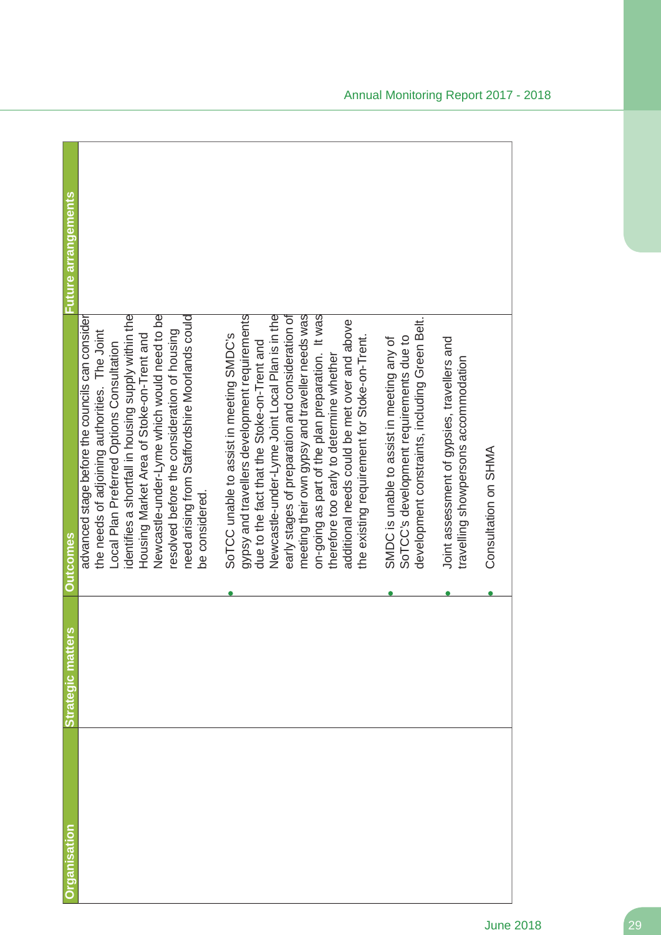| rganisation | n<br>Strategic matter | <b>Outcomes</b>                                                                                                                                                                                                                                                                                                                                                                                                                                                                                    | Future arrangements |
|-------------|-----------------------|----------------------------------------------------------------------------------------------------------------------------------------------------------------------------------------------------------------------------------------------------------------------------------------------------------------------------------------------------------------------------------------------------------------------------------------------------------------------------------------------------|---------------------|
|             |                       | identifies a shortfall in housing supply within the<br>Newcastle-under-Lyme which would need to be<br>need arising from Staffordshire Moorlands could<br>advanced stage before the councils can consider<br>the needs of adjoining authorities. The Joint<br>resolved before the consideration of housing<br>Housing Market Area of Stoke-on-Trent and<br>Local Plan Preferred Options Consultation<br>be considered.                                                                              |                     |
|             |                       | Newcastle-under-Lyme Joint Local Plan is in the<br>gypsy and travellers development requirements<br>early stages of preparation and consideration of<br>meeting their own gypsy and traveller needs was<br>on-going as part of the plan preparation. It was<br>additional needs could be met over and above<br>SoTCC unable to assist in meeting SMDC's<br>the existing requirement for Stoke-on-Trent.<br>due to the fact that the Stoke-on-Trent and<br>therefore too early to determine whether |                     |
|             |                       | development constraints, including Green Belt.<br>SoTCC's development requirements due to<br>SMDC is unable to assist in meeting any of                                                                                                                                                                                                                                                                                                                                                            |                     |
|             |                       | Joint assessment of gypsies, travellers and<br>travelling showpersons accommodation<br>Consultation on SHMA                                                                                                                                                                                                                                                                                                                                                                                        |                     |
|             |                       |                                                                                                                                                                                                                                                                                                                                                                                                                                                                                                    |                     |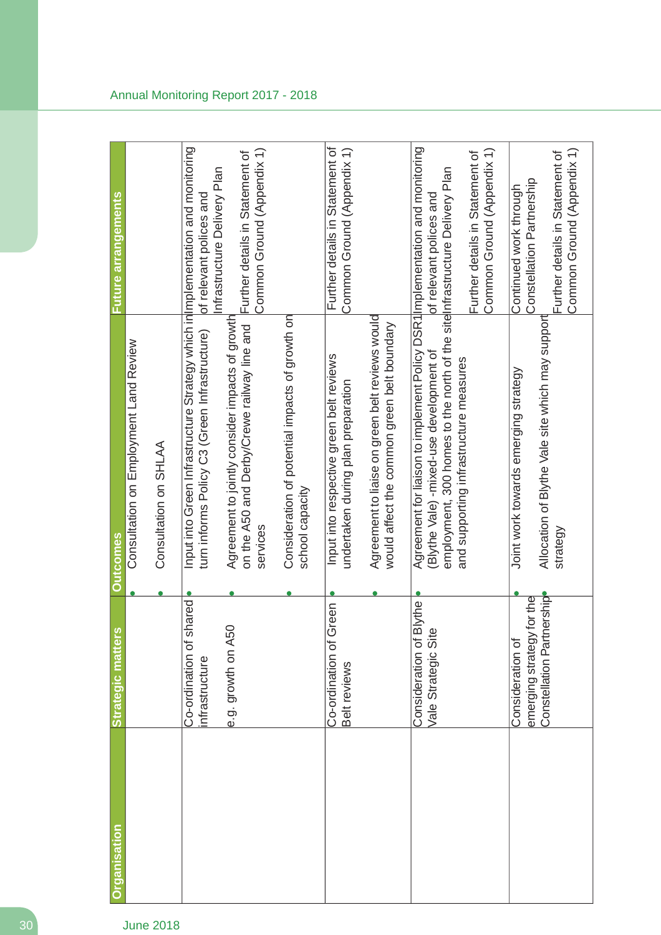| <b>Organisation</b> | Strategic matters                              | <b>Outcomes</b>                                                                                                                                                                                        | <b>Future arrangements</b>                                                                    |
|---------------------|------------------------------------------------|--------------------------------------------------------------------------------------------------------------------------------------------------------------------------------------------------------|-----------------------------------------------------------------------------------------------|
|                     |                                                | Consultation on Employment Land Review                                                                                                                                                                 |                                                                                               |
|                     |                                                | Consultation on SHLAA                                                                                                                                                                                  |                                                                                               |
|                     | Co-ordination of shared<br>infrastructure      | Input into Green Infrastructure Strategy which in Implementation and monitoring<br>turn informs Policy C3 (Green Infrastructure)                                                                       | of relevant polices and                                                                       |
|                     | e.g. growth on A50                             | Agreement to jointly consider impacts of growth<br>on the A50 and Derby/Crewe railway line and<br>services                                                                                             | Common Ground (Appendix 1)<br>Further details in Statement of<br>Infrastructure Delivery Plan |
|                     |                                                | Consideration of potential impacts of growth on<br>school capacity                                                                                                                                     |                                                                                               |
|                     | Co-ordination of Green<br>Belt reviews         | Input into respective green belt reviews<br>undertaken during plan preparation                                                                                                                         | Further details in Statement of<br>Common Ground (Appendix 1)                                 |
|                     |                                                | Agreement to liaise on green belt reviews would<br>would affect the common green belt boundary                                                                                                         |                                                                                               |
|                     | Consideration of Blythe<br>Vale Strategic Site | Agreement for liaison to implement Policy DSR1 Implementation and monitoring<br>employment, 300 homes to the north of the site nfrastructure Delivery Plan<br>(Blythe Vale) - mixed-use development of | of relevant polices and                                                                       |
|                     |                                                | and supporting infrastructure measures                                                                                                                                                                 | Common Ground (Appendix 1)<br>Further details in Statement of                                 |
|                     | emerging strategy for the<br>Consideration of  | Joint work towards emerging strategy                                                                                                                                                                   | Constellation Partnership<br>Continued work through                                           |
|                     | Constellation Partnership                      | Allocation of Blythe Vale site which may support<br>strategy                                                                                                                                           | Common Ground (Appendix 1)<br>Further details in Statement of                                 |
|                     |                                                |                                                                                                                                                                                                        |                                                                                               |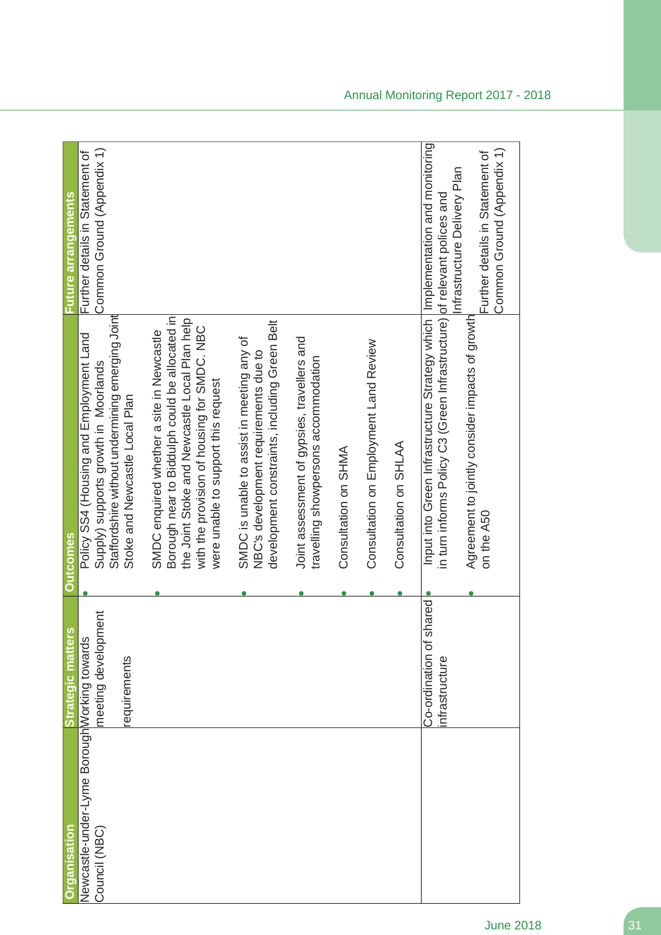| <b>Properisation</b>                                          | S,<br>Strategic matter                         | <b>Outcomes</b>                                                                                                                                            | Future arrangements                                                                           |
|---------------------------------------------------------------|------------------------------------------------|------------------------------------------------------------------------------------------------------------------------------------------------------------|-----------------------------------------------------------------------------------------------|
| Newcastle-under-Lyme Borough Working towards<br>Council (NBC) | meeting development                            | Policy SS4 (Housing and Employment Land<br>Supply) supports growth in Moorlands                                                                            | Common Ground (Appendix 1)<br>Further details in Statement of                                 |
|                                                               | requirements                                   | Staffordshire without undermining emerging Joint<br>Stoke and Newcastle Local Plan                                                                         |                                                                                               |
|                                                               |                                                | Borough near to Biddulph could be allocated in<br>SMDC enquired whether a site in Newcastle                                                                |                                                                                               |
|                                                               |                                                | the Joint Stoke and Newcastle Local Plan help<br>with the provision of housing for SMDC. NBC<br>were unable to support this request                        |                                                                                               |
|                                                               |                                                | development constraints, including Green Belt<br>SMDC is unable to assist in meeting any of<br>NBC's development requirements due to                       |                                                                                               |
|                                                               |                                                | Joint assessment of gypsies, travellers and<br>travelling showpersons accommodation                                                                        |                                                                                               |
|                                                               |                                                | Consultation on SHMA                                                                                                                                       |                                                                                               |
|                                                               |                                                | Consultation on Employment Land Review                                                                                                                     |                                                                                               |
|                                                               |                                                | Consultation on SHLAA                                                                                                                                      |                                                                                               |
|                                                               | shared<br>Co-ordination of s<br>infrastructure | Input into Green Infrastructure Strategy which   Implementation and monitoring<br>in turn informs Policy C3 (Green Infrastructure) of relevant polices and |                                                                                               |
|                                                               |                                                | Agreement to jointly consider impacts of growth<br>on the A50                                                                                              | Common Ground (Appendix 1)<br>Further details in Statement of<br>Infrastructure Delivery Plan |
|                                                               |                                                |                                                                                                                                                            |                                                                                               |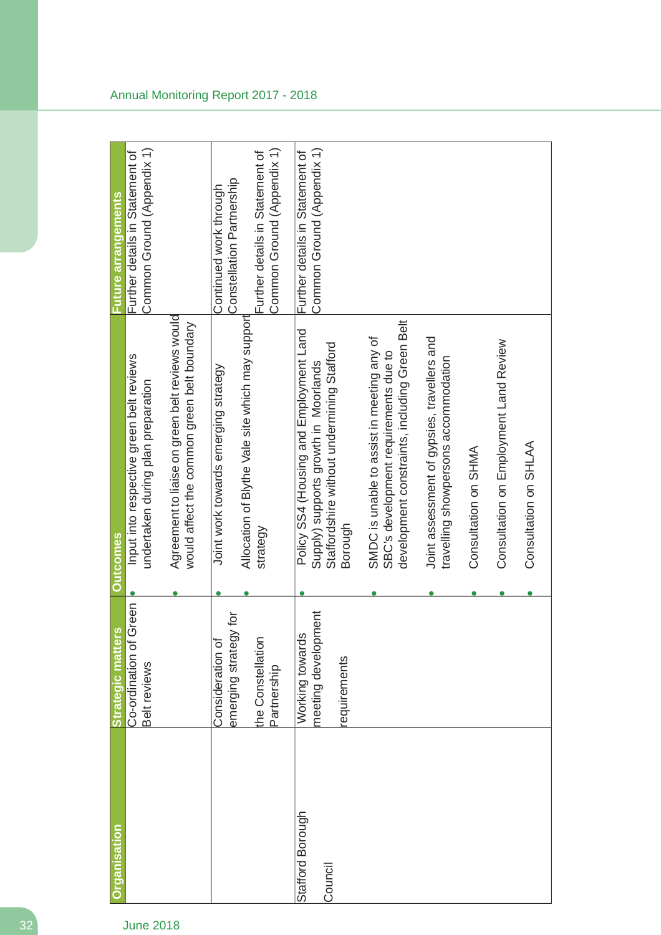| <b>Organisation</b>         | Strategic matters                                                             | <b>Outcomes</b>                                                                                                                          | <b>Future arrangements</b>                                                                                           |
|-----------------------------|-------------------------------------------------------------------------------|------------------------------------------------------------------------------------------------------------------------------------------|----------------------------------------------------------------------------------------------------------------------|
|                             | Green<br>Co-ordination of<br>Belt reviews                                     | Input into respective green belt reviews<br>undertaken during plan preparation                                                           | Common Ground (Appendix 1)<br>Further details in Statement of                                                        |
|                             |                                                                               | Agreement to liaise on green belt reviews would<br>would affect the common green belt boundary                                           |                                                                                                                      |
|                             | emerging strategy for<br>the Constellation<br>Consideration of<br>Partnership | Allocation of Blythe Vale site which may support<br>Joint work towards emerging strategy<br>strategy                                     | Common Ground (Appendix 1)<br>Further details in Statement of<br>Constellation Partnership<br>Continued work through |
| Stafford Borough<br>Council | meeting development<br>Working towards<br>requirements                        | Policy SS4 (Housing and Employment Land<br>Staffordshire without undermining Stafford<br>Supply) supports growth in Moorlands<br>Borough | Common Ground (Appendix 1)<br>Further details in Statement of                                                        |
|                             |                                                                               | development constraints, including Green Belt<br>SMDC is unable to assist in meeting any of<br>SBC's development requirements due to     |                                                                                                                      |
|                             |                                                                               | Joint assessment of gypsies, travellers and<br>travelling showpersons accommodation                                                      |                                                                                                                      |
|                             |                                                                               | Consultation on SHMA                                                                                                                     |                                                                                                                      |
|                             |                                                                               | Consultation on Employment Land Review                                                                                                   |                                                                                                                      |
|                             |                                                                               | Consultation on SHLAA                                                                                                                    |                                                                                                                      |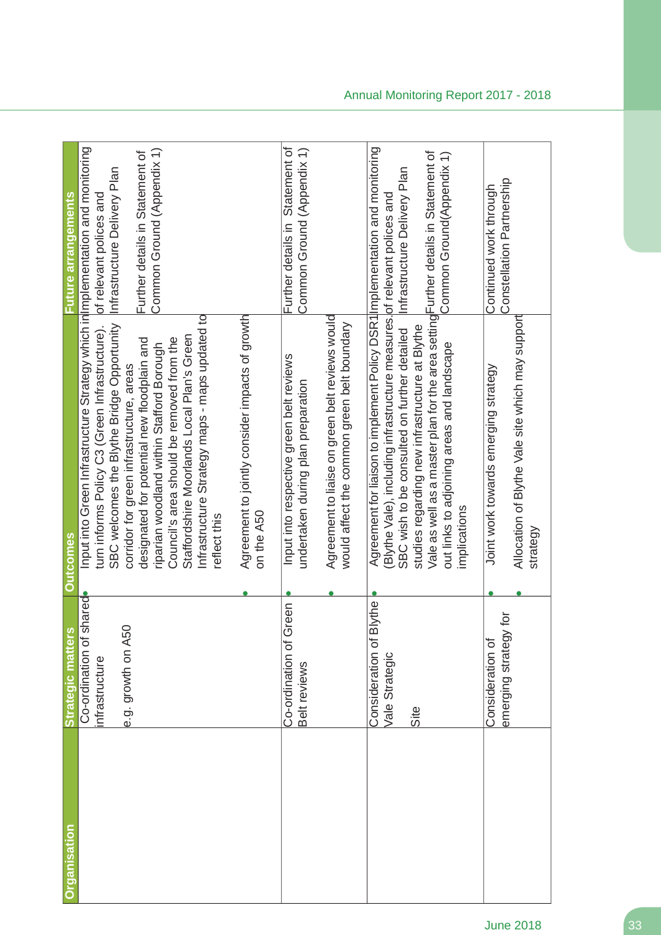| <u>Organisation</u> | Strategic matters                             | <b>Outcomes</b>                                                                                                                                           | <b>Future arrangements</b>                                    |
|---------------------|-----------------------------------------------|-----------------------------------------------------------------------------------------------------------------------------------------------------------|---------------------------------------------------------------|
|                     | Co-ordination of shared                       | Input into Green Infrastructure Strategy which inlimplementation and monitoring                                                                           |                                                               |
|                     | infrastructure                                | turn informs Policy C3 (Green Infrastructure).                                                                                                            | of relevant polices and                                       |
|                     | e.g. growth on A50                            | SBC welcomes the Blythe Bridge Opportunity<br>corridor for green infrastructure, areas                                                                    | Infrastructure Delivery Plan                                  |
|                     |                                               | designated for potential new floodplain and                                                                                                               | Common Ground (Appendix 1)<br>Further details in Statement of |
|                     |                                               | Council's area should be removed from the<br>riparian woodland within Stafford Borough                                                                    |                                                               |
|                     |                                               | Staffordshire Moorlands Local Plan's Green                                                                                                                |                                                               |
|                     |                                               | Infrastructure Strategy maps - maps updated to<br>reflect this                                                                                            |                                                               |
|                     |                                               | Agreement to jointly consider impacts of growth<br>on the A50                                                                                             |                                                               |
|                     | Green<br>Co-ordination of (<br>Belt reviews   | Input into respective green belt reviews<br>undertaken during plan preparation                                                                            | Further details in Statement of<br>Common Ground (Appendix 1) |
|                     |                                               | Agreement to liaise on green belt reviews would<br>would affect the common green belt boundary                                                            |                                                               |
|                     | Consideration of Blythe<br>Vale Strategic     | Agreement for liaison to implement Policy DSR1 Implementation and monitoring<br>(Blythe Vale), including infrastructure measures. of relevant polices and |                                                               |
|                     | Site                                          | studies regarding new infrastructure at Blythe<br>SBC wish to be consulted on further detailed                                                            | Infrastructure Delivery Plan                                  |
|                     |                                               | Vale as well as a master plan for the area setting Further details in Statement of<br>out links to adjoining areas and landscape                          | Common Ground(Appendix 1)                                     |
|                     |                                               | implications                                                                                                                                              |                                                               |
|                     | i pl<br>emerging strategy<br>Consideration of | Joint work towards emerging strategy                                                                                                                      | Constellation Partnership<br>Continued work through           |
|                     |                                               | Allocation of Blythe Vale site which may support<br>strategy                                                                                              |                                                               |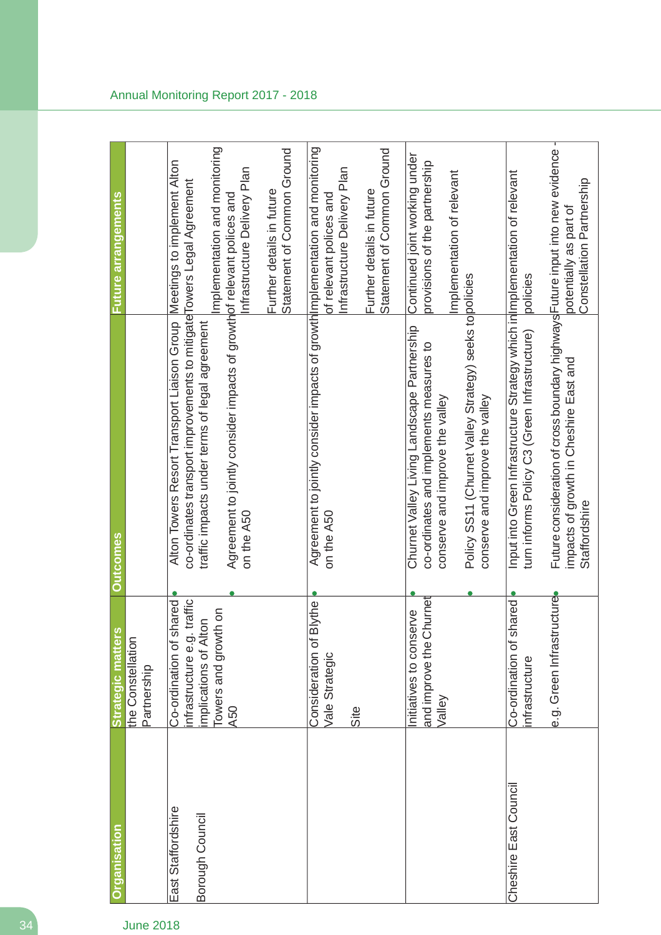| <b>Organisation</b>                   | <b>Strategic matters</b>                                                                                          | <b>Outcomes</b>                                                                                                                                                                                                                                                                             | Future arrangements                                                                          |
|---------------------------------------|-------------------------------------------------------------------------------------------------------------------|---------------------------------------------------------------------------------------------------------------------------------------------------------------------------------------------------------------------------------------------------------------------------------------------|----------------------------------------------------------------------------------------------|
|                                       | the Constellation<br>Partnership                                                                                  |                                                                                                                                                                                                                                                                                             |                                                                                              |
| East Staffordshire<br>Borough Council | Co-ordination of shared<br>traffic<br>Towers and growth on<br>implications of Alton<br>infrastructure e.g.<br>A50 | Alton Towers Resort Transport Liaison Group Meetings to implement Alton<br>co-ordinates transport improvements to mitigate Towers Legal Agreement<br>Agreement to jointly consider impacts of growthof relevant polices and<br>traffic impacts under terms of legal agreement<br>on the A50 | mplementation and monitoring<br>Infrastructure Delivery Plan<br>Further details in future    |
|                                       | Consideration of Blythe                                                                                           | Agreement to jointly consider impacts of growth implementation and monitoring                                                                                                                                                                                                               | Statement of Common Ground                                                                   |
|                                       | Vale Strategic<br>Site                                                                                            | on the A50                                                                                                                                                                                                                                                                                  | Infrastructure Delivery Plan<br>Further details in future<br>of relevant polices and         |
|                                       |                                                                                                                   |                                                                                                                                                                                                                                                                                             | Statement of Common Ground                                                                   |
|                                       | and improve the Churnet<br>Initiatives to conserve<br>Valley                                                      | Policy SS11 (Churnet Valley Strategy) seeks to policies<br>Churnet Valley Living Landscape Partnership<br>co-ordinates and implements measures to<br>conserve and improve the valley                                                                                                        | Continued joint working under<br>provisions of the partnership<br>Implementation of relevant |
| Cheshire East Council                 | Co-ordination of shared<br>infrastructure                                                                         | Input into Green Infrastructure Strategy which in Implementation of relevant<br>turn informs Policy C3 (Green Infrastructure)<br>conserve and improve the valley                                                                                                                            | policies                                                                                     |
|                                       | e.g. Green Infrastructure                                                                                         | Future consideration of cross boundary highways Future input into new evidence<br>impacts of growth in Cheshire East and<br>Staffordshire                                                                                                                                                   | т<br>potentially as part of<br>Constellation Partnership                                     |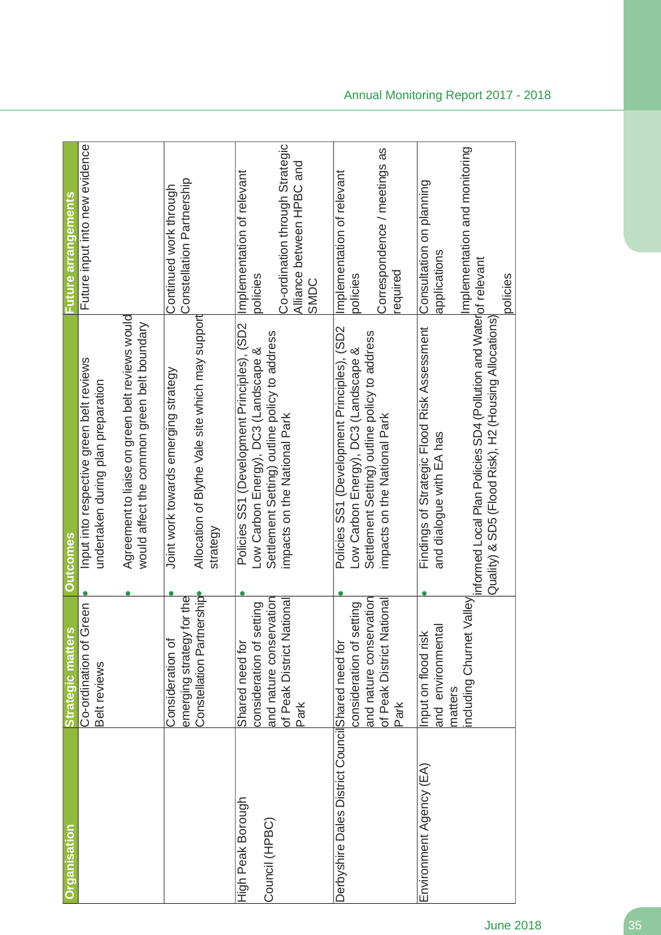| <b>Organisation</b>                              | <b>Strategic matters</b>                                                      | <b>Qutcomes</b>                                                                                                                      | <b>Euture arrangements</b>                                           |
|--------------------------------------------------|-------------------------------------------------------------------------------|--------------------------------------------------------------------------------------------------------------------------------------|----------------------------------------------------------------------|
|                                                  | Co-ordination of Green<br>Belt reviews                                        | Input into respective green belt reviews<br>undertaken during plan preparation                                                       | Future input into new evidence                                       |
|                                                  |                                                                               | Agreement to liaise on green belt reviews would<br>would affect the common green belt boundary                                       |                                                                      |
|                                                  | Constellation Partnership<br>for the<br>emerging strategy<br>Consideration of | Allocation of Blythe Vale site which may support<br>Joint work towards emerging strategy<br>strategy                                 | Constellation Partnership<br>Continued work through                  |
| High Peak Borough<br>Council (HPBC)              | and nature conservation<br>consideration of setting<br>Shared need for        | Policies SS1 (Development Principles), (SD2<br>Settlement Setting) outline policy to address<br>Low Carbon Energy), DC3 (Landscape & | Implementation of relevant<br>policies                               |
|                                                  | of Peak District National<br>Park                                             | impacts on the National Park                                                                                                         | Co-ordination through Strategic<br>Alliance between HPBC and<br>SMDC |
| Derbyshire Dales District CouncilShared need for | consideration of setting                                                      | Policies SS1 (Development Principles), (SD2<br>Low Carbon Energy), DC3 (Landscape &                                                  | Implementation of relevant<br>policies                               |
|                                                  | and nature conservation<br>of Peak District National<br>Park                  | Settlement Setting) outline policy to address<br>impacts on the National Park                                                        | Correspondence / meetings as<br>required                             |
| Environment Agency (EA)                          | and environmental<br>Input on flood risk<br>matters                           | Findings of Strategic Flood Risk Assessment<br>and dialogue with EA has                                                              | Consultation on planning<br>applications                             |
|                                                  | including Churnet                                                             | Valley informed Local Plan Policies SD4 (Pollution and Waterof relevant<br>Quality) & SD5 (Flood Risk), H2 (Housing Allocations      | Implementation and monitoring<br>policies                            |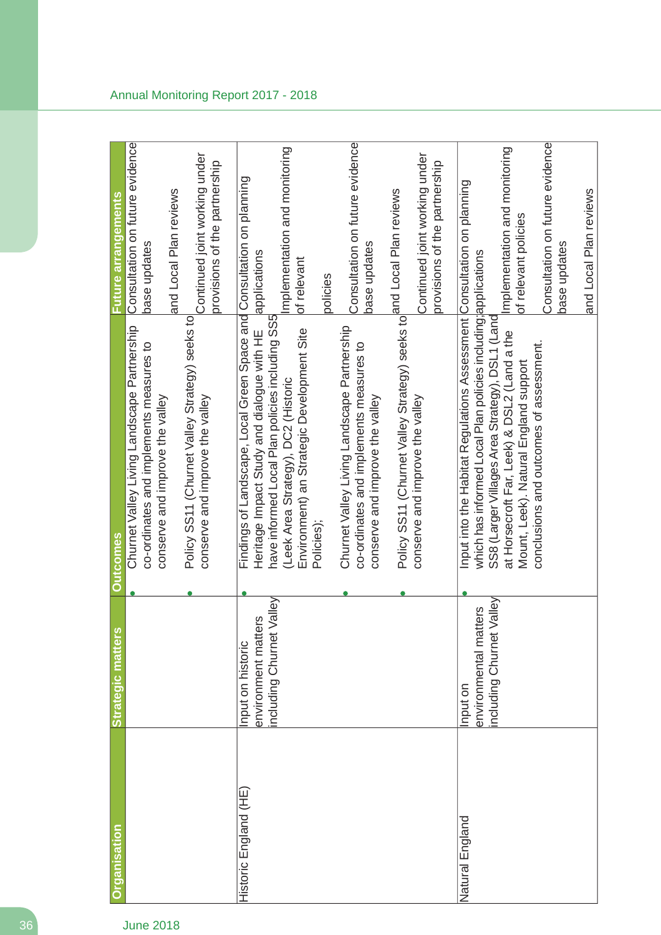| <b>Organisation</b>  | <b>Strategic matters</b>    | <b>Outcomes</b>                                                                                | Future arrangements                             |
|----------------------|-----------------------------|------------------------------------------------------------------------------------------------|-------------------------------------------------|
|                      |                             | Churnet Valley Living Landscape Partnership                                                    | Consultation on future evidence                 |
|                      |                             | co-ordinates and implements measures to                                                        | base updates                                    |
|                      |                             | conserve and improve the valley                                                                | and Local Plan reviews                          |
|                      |                             | Policy SS11 (Churnet Valley Strategy) seeks to                                                 | Continued joint working under                   |
|                      |                             | conserve and improve the valley                                                                | provisions of the partnership                   |
| Historic England (HE | Input on historic           | Findings of Landscape, Local Green Space and Consultation on planning                          |                                                 |
|                      | environment matters         | Heritage Impact Study and dialogue with HE                                                     | applications                                    |
|                      | including Churnet Valley    | have informed Local Plan policies including SS5                                                |                                                 |
|                      |                             | Environment) an Strategic Development Site<br>(Leek Area Strategy), DC2 (Historic              | Implementation and monitoring<br>of relevant    |
|                      |                             | Policies);                                                                                     |                                                 |
|                      |                             |                                                                                                | policies                                        |
|                      |                             | Churnet Valley Living Landscape Partnership<br>co-ordinates and implements measures to         | Consultation on future evidence<br>base updates |
|                      |                             | conserve and improve the valley                                                                |                                                 |
|                      |                             | Policy SS11 (Churnet Valley Strategy) seeks to and Local Plan reviews                          |                                                 |
|                      |                             | conserve and improve the valley                                                                | Continued joint working under                   |
|                      |                             |                                                                                                | provisions of the partnership                   |
| Natural England      | Input on                    | Input into the Habitat Regulations Assessment Consultation on planning                         |                                                 |
|                      | environmental matters       | which has informed Local Plan policies including; applications                                 |                                                 |
|                      | Valley<br>including Churnet | SS8 (Larger Villages Area Strategy), DSL1 (Land<br>at Horsecroft Far, Leek) & DSL2 (Land a the | Implementation and monitoring                   |
|                      |                             | Mount, Leek). Natural England support                                                          | of relevant policies                            |
|                      |                             | conclusions and outcomes of assessment.                                                        | Consultation on future evidence                 |
|                      |                             |                                                                                                | base updates                                    |
|                      |                             |                                                                                                | and Local Plan reviews                          |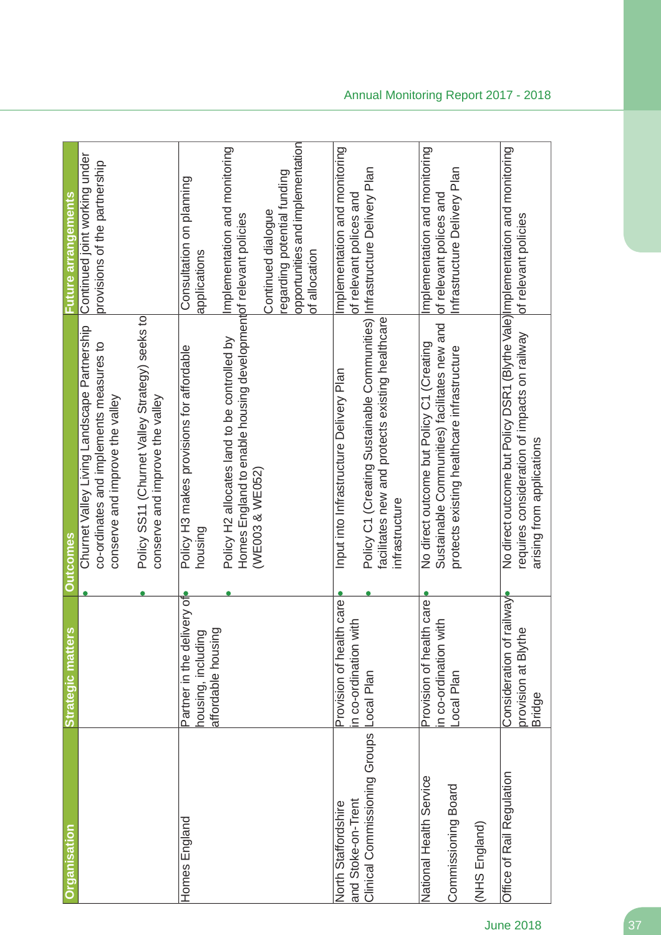| <b>Organisation</b>                            | Strategic matter                                                           | <b>Outcomes</b>                                                                                                                                            | <b>Future arrangements</b>                                                                             |
|------------------------------------------------|----------------------------------------------------------------------------|------------------------------------------------------------------------------------------------------------------------------------------------------------|--------------------------------------------------------------------------------------------------------|
|                                                |                                                                            | Churnet Valley Living Landscape Partnership<br>co-ordinates and implements measures to<br>conserve and improve the valley                                  | Continued joint working under<br>provisions of the partnership                                         |
|                                                |                                                                            | Policy SS11 (Churnet Valley Strategy) seeks to<br>conserve and improve the valley                                                                          |                                                                                                        |
| Homes England                                  | very of<br>affordable housing<br>housing, including<br>Partner in the deli | Policy H3 makes provisions for affordable<br>housing                                                                                                       | Consultation on planning<br>applications                                                               |
|                                                |                                                                            | Homes England to enable housing developmentof relevant policies<br>Policy H2 allocates land to be controlled by<br>(WE003 & WE052)                         | Implementation and monitoring                                                                          |
|                                                |                                                                            |                                                                                                                                                            | opportunities and implementation<br>regarding potential funding<br>Continued dialogue<br>of allocation |
| and Stoke-on-Trent<br>North Staffordshire      | Provision of health care<br>n co-ordination with                           | Input into Infrastructure Delivery Plan                                                                                                                    | Implementation and monitoring<br>of relevant polices and                                               |
| Clinical Commissioning Groups                  | Local Plan                                                                 | Policy C1 (Creating Sustainable Communities) Infrastructure Delivery Plan<br>facilitates new and protects existing healthcare<br>infrastructure            |                                                                                                        |
| National Health Service<br>Commissioning Board | Provision of health care<br>n co-ordination with<br>Local Plan             | Sustainable Communities) facilitates new and<br>No direct outcome but Policy C1 (Creating<br>protects existing healthcare infrastructure                   | Implementation and monitoring<br>Infrastructure Delivery Plan<br>of relevant polices and               |
| (NHS England)                                  |                                                                            |                                                                                                                                                            |                                                                                                        |
| Office of Rail Regulation                      | vewlie<br>provision at Blythe<br>Consideration of<br><b>Bridge</b>         | No direct outcome but Policy DSR1 (Blythe Vale) Implementation and monitoring<br>requires consideration of impacts on railway<br>arising from applications | of relevant policies                                                                                   |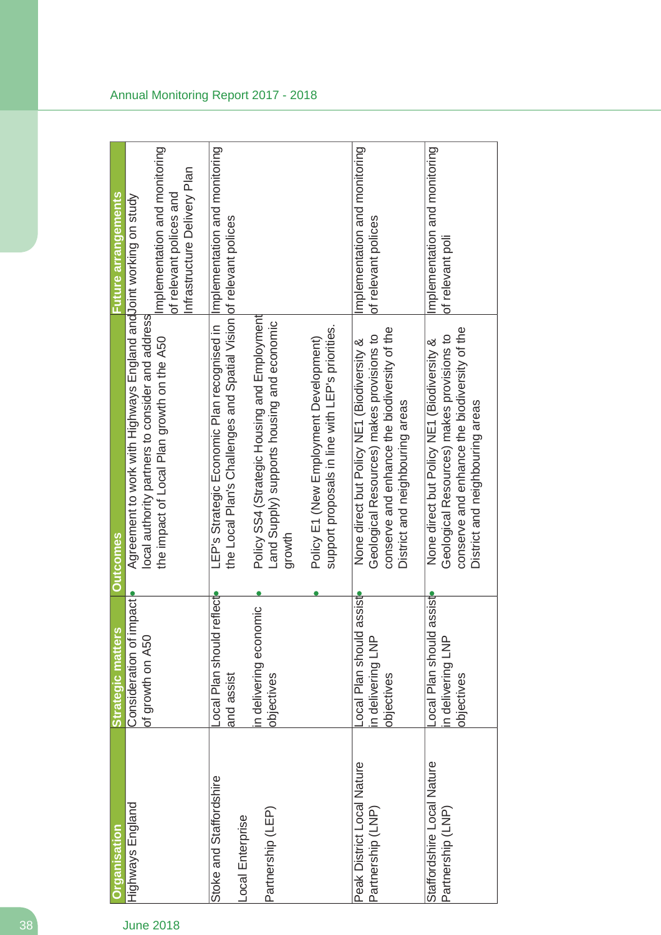| Agreement to work with Highways England and Joint working on study<br>local authority partners to consider and address                                                     |
|----------------------------------------------------------------------------------------------------------------------------------------------------------------------------|
| the impact of Local Plan growth on the A50                                                                                                                                 |
| the Local Plan's Challenges and Spatial Vision of relevant polices<br>LEP's Strategic Economic Plan recognised in                                                          |
| Policy SS4 (Strategic Housing and Employment<br>Land Supply) supports housing and economic                                                                                 |
| support proposals in line with LEP's priorities.<br>Policy E1 (New Employment Development)                                                                                 |
| conserve and enhance the biodiversity of the<br>Geological Resources) makes provisions to<br>None direct but Policy NE1 (Biodiversity &<br>District and neighbouring areas |
| conserve and enhance the biodiversity of the<br>Geological Resources) makes provisions to<br>None direct but Policy NE1 (Biodiversity &<br>District and neighbouring areas |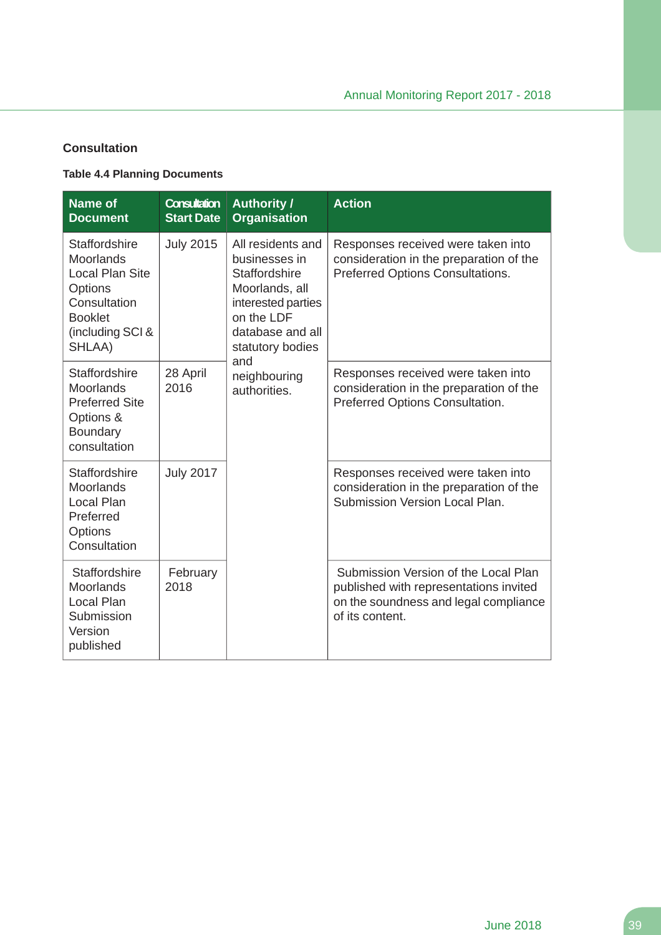### **Consultation**

### **Table 4.4 Planning Documents**

| <b>Name of</b><br><b>Document</b>                                                                                               | <b>Consultation</b><br><b>Start Date</b> | <b>Authority /</b><br><b>Organisation</b>                                                                                                                | <b>Action</b>                                                                                                                              |
|---------------------------------------------------------------------------------------------------------------------------------|------------------------------------------|----------------------------------------------------------------------------------------------------------------------------------------------------------|--------------------------------------------------------------------------------------------------------------------------------------------|
| Staffordshire<br>Moorlands<br><b>Local Plan Site</b><br>Options<br>Consultation<br><b>Booklet</b><br>(including SCI &<br>SHLAA) | <b>July 2015</b>                         | All residents and<br>businesses in<br><b>Staffordshire</b><br>Moorlands, all<br>interested parties<br>on the LDF<br>database and all<br>statutory bodies | Responses received were taken into<br>consideration in the preparation of the<br><b>Preferred Options Consultations.</b>                   |
| Staffordshire<br><b>Moorlands</b><br><b>Preferred Site</b><br>Options &<br>Boundary<br>consultation                             | 28 April<br>2016                         | and<br>neighbouring<br>authorities.                                                                                                                      | Responses received were taken into<br>consideration in the preparation of the<br>Preferred Options Consultation.                           |
| <b>Staffordshire</b><br><b>Moorlands</b><br>Local Plan<br>Preferred<br>Options<br>Consultation                                  | <b>July 2017</b>                         |                                                                                                                                                          | Responses received were taken into<br>consideration in the preparation of the<br>Submission Version Local Plan.                            |
| Staffordshire<br>Moorlands<br>Local Plan<br>Submission<br>Version<br>published                                                  | February<br>2018                         |                                                                                                                                                          | Submission Version of the Local Plan<br>published with representations invited<br>on the soundness and legal compliance<br>of its content. |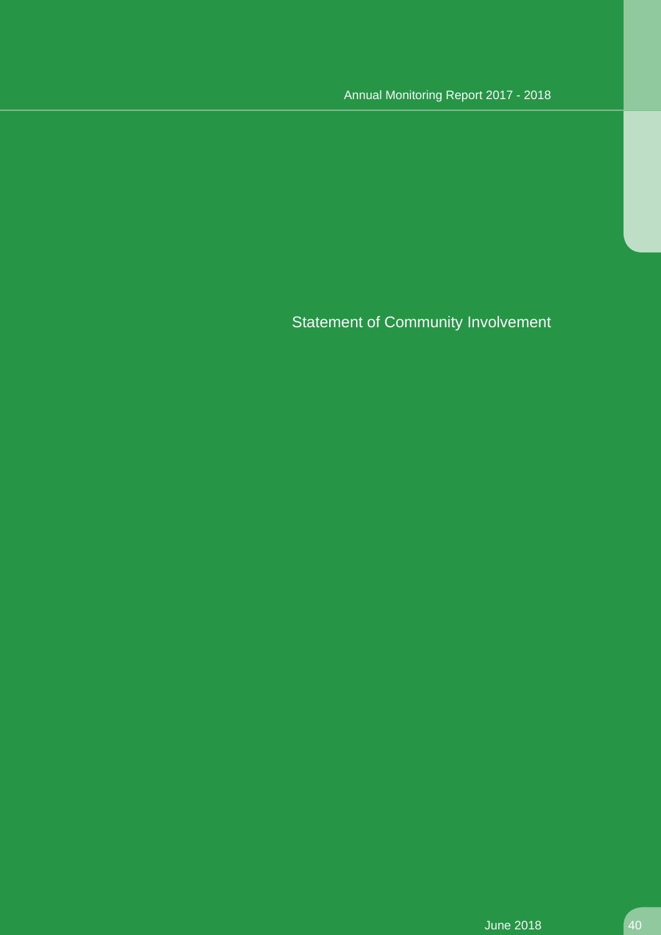Statement of Community Involvement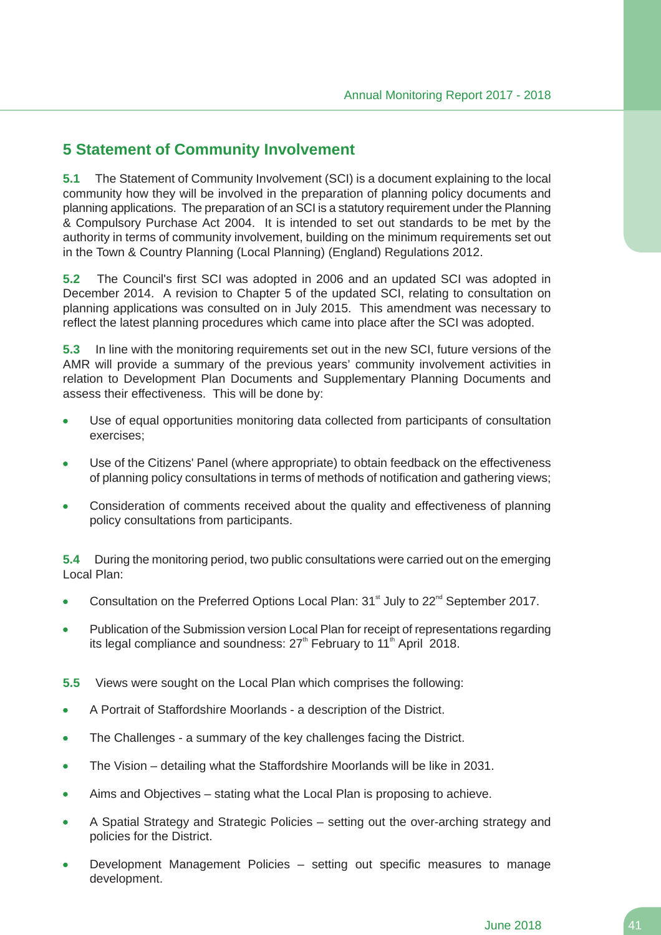# **5 Statement of Community Involvement**

**5.1** The Statement of Community Involvement (SCI) is a document explaining to the local community how they will be involved in the preparation of planning policy documents and planning applications. The preparation of an SCI is a statutory requirement under the Planning & Compulsory Purchase Act 2004. It is intended to set out standards to be met by the authority in terms of community involvement, building on the minimum requirements set out in the Town & Country Planning (Local Planning) (England) Regulations 2012.

**5.2** The Council's first SCI was adopted in 2006 and an updated SCI was adopted in December 2014. A revision to Chapter 5 of the updated SCI, relating to consultation on planning applications was consulted on in July 2015. This amendment was necessary to reflect the latest planning procedures which came into place after the SCI was adopted.

**5.3** In line with the monitoring requirements set out in the new SCI, future versions of the AMR will provide a summary of the previous years' community involvement activities in relation to Development Plan Documents and Supplementary Planning Documents and assess their effectiveness. This will be done by:

- Use of equal opportunities monitoring data collected from participants of consultation  $\bullet$ exercises;
- Use of the Citizens' Panel (where appropriate) to obtain feedback on the effectiveness of planning policy consultations in terms of methods of notification and gathering views;
- Consideration of comments received about the quality and effectiveness of planning  $\bullet$ policy consultations from participants.

**5.4** During the monitoring period, two public consultations were carried out on the emerging Local Plan:

- Consultation on the Preferred Options Local Plan:  $31<sup>st</sup>$  July to  $22<sup>nd</sup>$  September 2017.
- Publication of the Submission version Local Plan for receipt of representations regarding its legal compliance and soundness:  $27<sup>th</sup>$  February to 11<sup>th</sup> April 2018.
- **5.5** Views were sought on the Local Plan which comprises the following:
- $\bullet$ A Portrait of Staffordshire Moorlands - a description of the District.
- The Challenges a summary of the key challenges facing the District.  $\bullet$
- $\bullet$ The Vision – detailing what the Staffordshire Moorlands will be like in 2031.
- Aims and Objectives stating what the Local Plan is proposing to achieve.  $\bullet$
- A Spatial Strategy and Strategic Policies setting out the over-arching strategy and  $\bullet$ policies for the District.
- Development Management Policies setting out specific measures to manage development.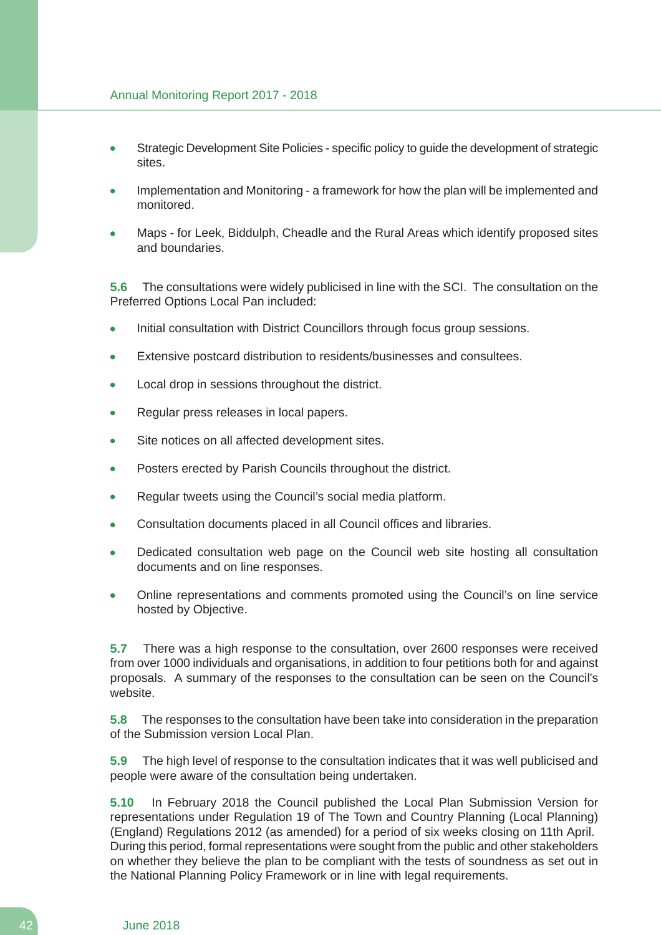- Strategic Development Site Policies specific policy to guide the development of strategic sites.
- Implementation and Monitoring a framework for how the plan will be implemented and monitored.
- Maps for Leek, Biddulph, Cheadle and the Rural Areas which identify proposed sites and boundaries.

**5.6** The consultations were widely publicised in line with the SCI. The consultation on the Preferred Options Local Pan included:

- Initial consultation with District Councillors through focus group sessions.
- Extensive postcard distribution to residents/businesses and consultees.
- Local drop in sessions throughout the district.
- Regular press releases in local papers.
- Site notices on all affected development sites.
- Posters erected by Parish Councils throughout the district.
- Regular tweets using the Council's social media platform.
- Consultation documents placed in all Council offices and libraries.
- Dedicated consultation web page on the Council web site hosting all consultation documents and on line responses.
- Online representations and comments promoted using the Council's on line service hosted by Objective.

**5.7** There was a high response to the consultation, over 2600 responses were received from over 1000 individuals and organisations, in addition to four petitions both for and against proposals. A summary of the responses to the consultation can be seen on the Council's website.

**5.8** The responses to the consultation have been take into consideration in the preparation of the Submission version Local Plan.

**5.9** The high level of response to the consultation indicates that it was well publicised and people were aware of the consultation being undertaken.

**5.10** In February 2018 the Council published the Local Plan Submission Version for representations under Regulation 19 of The Town and Country Planning (Local Planning) (England) Regulations 2012 (as amended) for a period of six weeks closing on 11th April. During this period, formal representations were sought from the public and other stakeholders on whether they believe the plan to be compliant with the tests of soundness as set out in the National Planning Policy Framework or in line with legal requirements.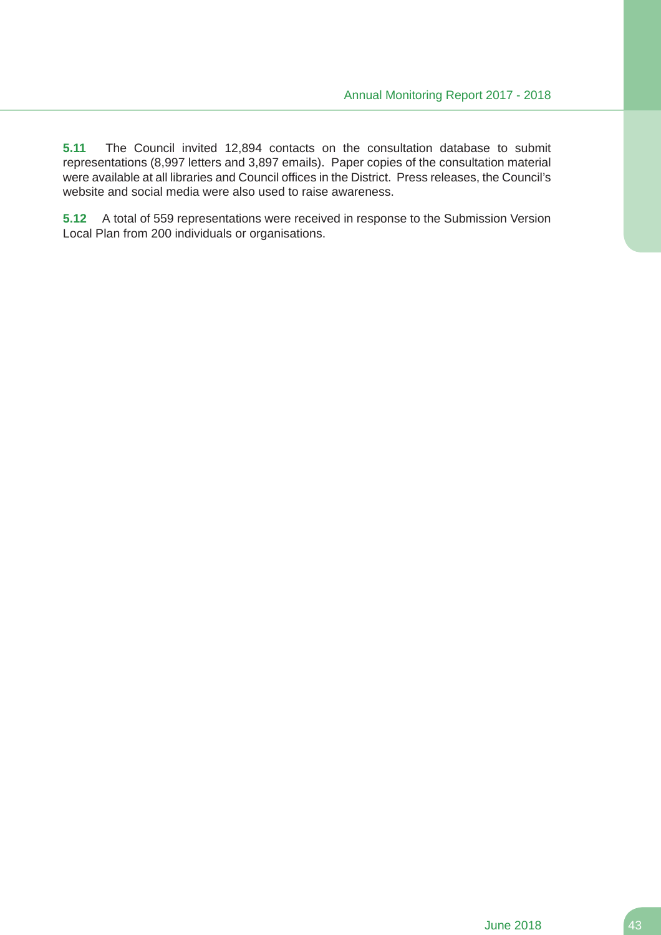**5.11** The Council invited 12,894 contacts on the consultation database to submit representations (8,997 letters and 3,897 emails). Paper copies of the consultation material were available at all libraries and Council offices in the District. Press releases, the Council's website and social media were also used to raise awareness.

**5.12** A total of 559 representations were received in response to the Submission Version Local Plan from 200 individuals or organisations.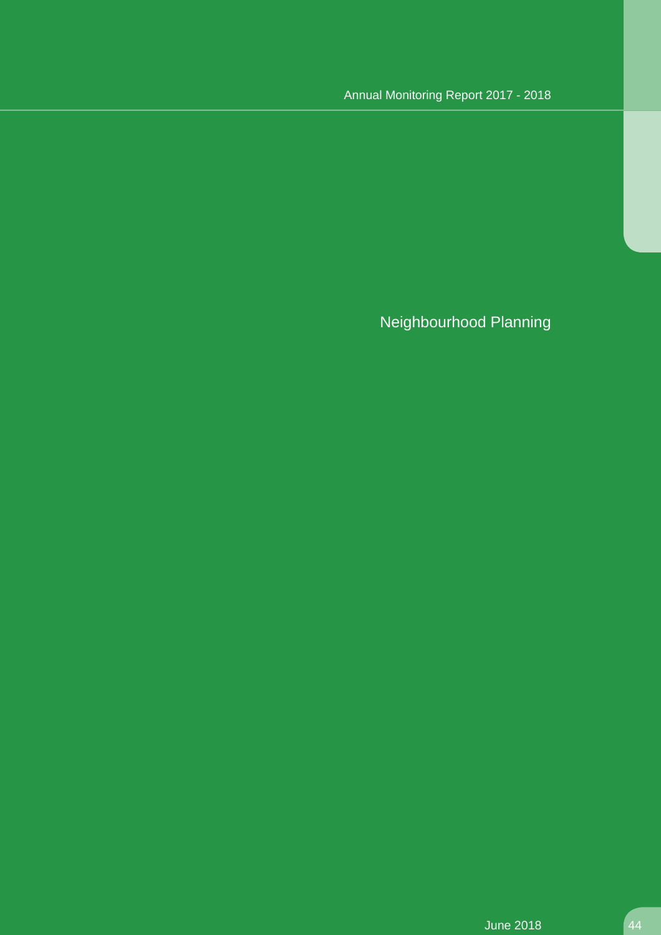Neighbourhood Planning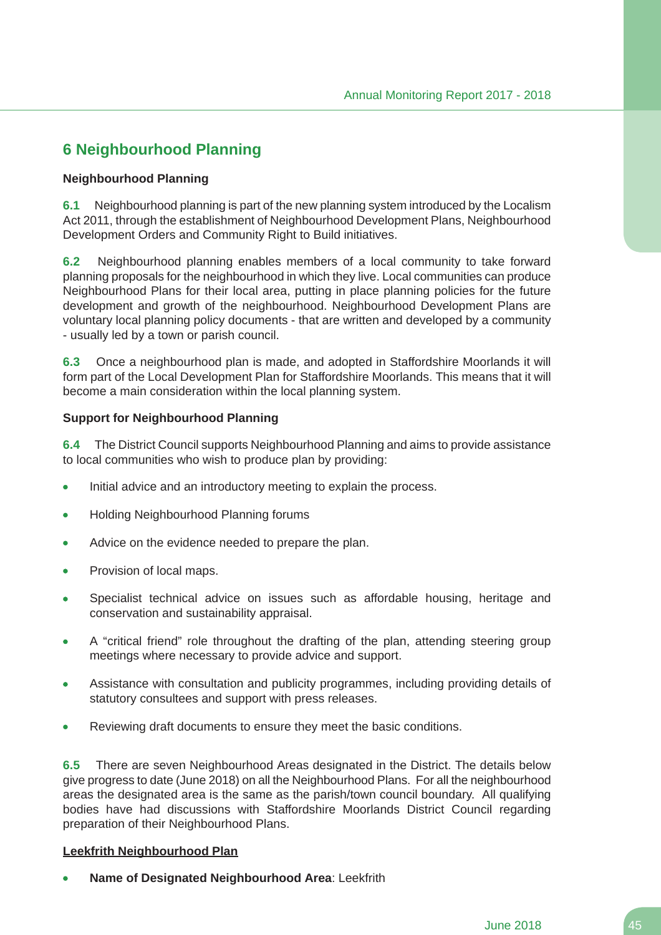# **6 Neighbourhood Planning**

#### **Neighbourhood Planning**

**6.1** Neighbourhood planning is part of the new planning system introduced by the Localism Act 2011, through the establishment of Neighbourhood Development Plans, Neighbourhood Development Orders and Community Right to Build initiatives.

**6.2** Neighbourhood planning enables members of a local community to take forward planning proposals for the neighbourhood in which they live. Local communities can produce Neighbourhood Plans for their local area, putting in place planning policies for the future development and growth of the neighbourhood. Neighbourhood Development Plans are voluntary local planning policy documents - that are written and developed by a community - usually led by a town or parish council.

**6.3** Once a neighbourhood plan is made, and adopted in Staffordshire Moorlands it will form part of the Local Development Plan for Staffordshire Moorlands. This means that it will become a main consideration within the local planning system.

#### **Support for Neighbourhood Planning**

**6.4** The District Council supports Neighbourhood Planning and aims to provide assistance to local communities who wish to produce plan by providing:

- Initial advice and an introductory meeting to explain the process.  $\bullet$
- $\bullet$ Holding Neighbourhood Planning forums
- Advice on the evidence needed to prepare the plan.  $\bullet$
- Provision of local maps.
- Specialist technical advice on issues such as affordable housing, heritage and conservation and sustainability appraisal.
- A "critical friend" role throughout the drafting of the plan, attending steering group  $\bullet$ meetings where necessary to provide advice and support.
- Assistance with consultation and publicity programmes, including providing details of  $\bullet$ statutory consultees and support with press releases.
- Reviewing draft documents to ensure they meet the basic conditions.

**6.5** There are seven Neighbourhood Areas designated in the District. The details below give progress to date (June 2018) on all the Neighbourhood Plans. For all the neighbourhood areas the designated area is the same as the parish/town council boundary. All qualifying bodies have had discussions with Staffordshire Moorlands District Council regarding preparation of their Neighbourhood Plans.

#### **Leekfrith Neighbourhood Plan**

**Name of Designated Neighbourhood Area**: Leekfrith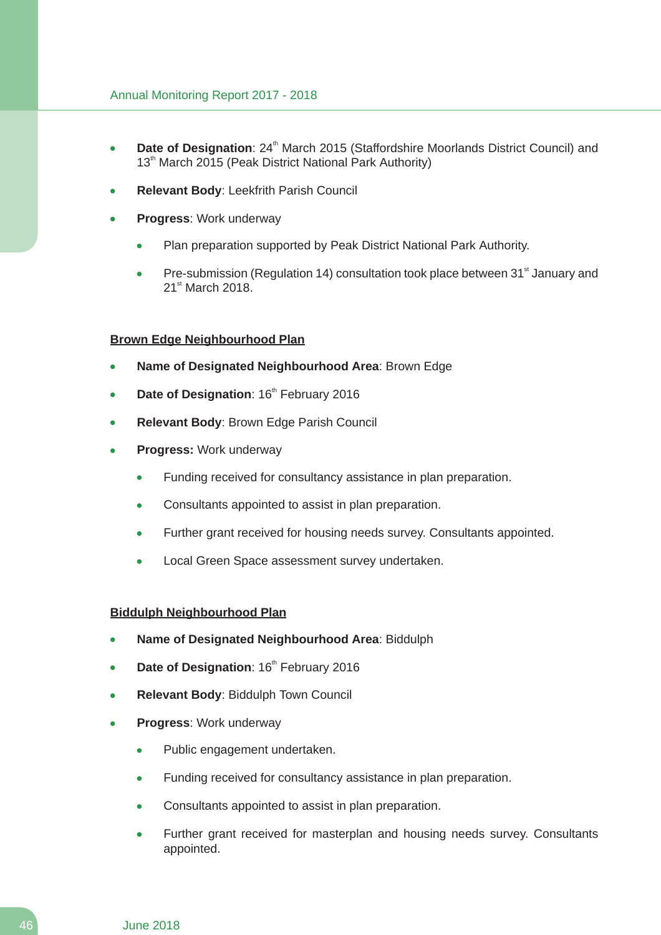- **Date of Designation**: 24<sup>th</sup> March 2015 (Staffordshire Moorlands District Council) and  $\bullet$ 13<sup>th</sup> March 2015 (Peak District National Park Authority)
- **Relevant Body**: Leekfrith Parish Council
- **Progress**: Work underway
	- Plan preparation supported by Peak District National Park Authority.
	- Pre-submission (Regulation 14) consultation took place between 31<sup>st</sup> January and 21<sup>st</sup> March 2018.

#### **Brown Edge Neighbourhood Plan**

- **Name of Designated Neighbourhood Area**: Brown Edge
- Date of Designation: 16<sup>th</sup> February 2016
- **Relevant Body**: Brown Edge Parish Council
- **Progress:** Work underway
	- Funding received for consultancy assistance in plan preparation.
	- Consultants appointed to assist in plan preparation.  $\bullet$
	- Further grant received for housing needs survey. Consultants appointed.
	- Local Green Space assessment survey undertaken.

#### **Biddulph Neighbourhood Plan**

- **Name of Designated Neighbourhood Area**: Biddulph
- **Date of Designation: 16<sup>th</sup> February 2016**
- **Relevant Body**: Biddulph Town Council
- **Progress**: Work underway
	- Public engagement undertaken.  $\bullet$
	- Funding received for consultancy assistance in plan preparation.  $\blacksquare$
	- Consultants appointed to assist in plan preparation.  $\bullet$
	- Further grant received for masterplan and housing needs survey. Consultants appointed.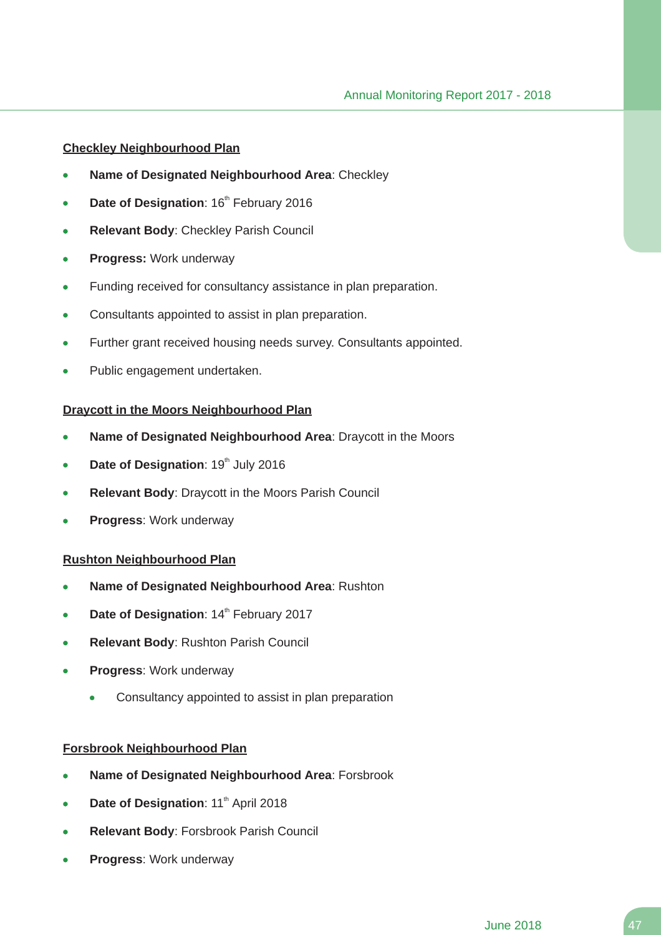#### **Checkley Neighbourhood Plan**

- **Name of Designated Neighbourhood Area**: Checkley
- Date of Designation: 16<sup>th</sup> February 2016
- **Relevant Body**: Checkley Parish Council
- **Progress:** Work underway  $\bullet$
- Funding received for consultancy assistance in plan preparation.
- Consultants appointed to assist in plan preparation.
- Further grant received housing needs survey. Consultants appointed.
- Public engagement undertaken.

#### **Draycott in the Moors Neighbourhood Plan**

- **Name of Designated Neighbourhood Area**: Draycott in the Moors
- **Date of Designation: 19th July 2016**
- **Relevant Body**: Draycott in the Moors Parish Council
- **Progress**: Work underway

#### **Rushton Neighbourhood Plan**

- **Name of Designated Neighbourhood Area**: Rushton  $\bullet$
- Date of Designation: 14<sup>th</sup> February 2017
- **Relevant Body**: Rushton Parish Council
- **Progress**: Work underway
	- Consultancy appointed to assist in plan preparation

#### **Forsbrook Neighbourhood Plan**

- **Name of Designated Neighbourhood Area**: Forsbrook
- **Date of Designation: 11<sup>th</sup> April 2018**
- **Relevant Body**: Forsbrook Parish Council
- **Progress**: Work underway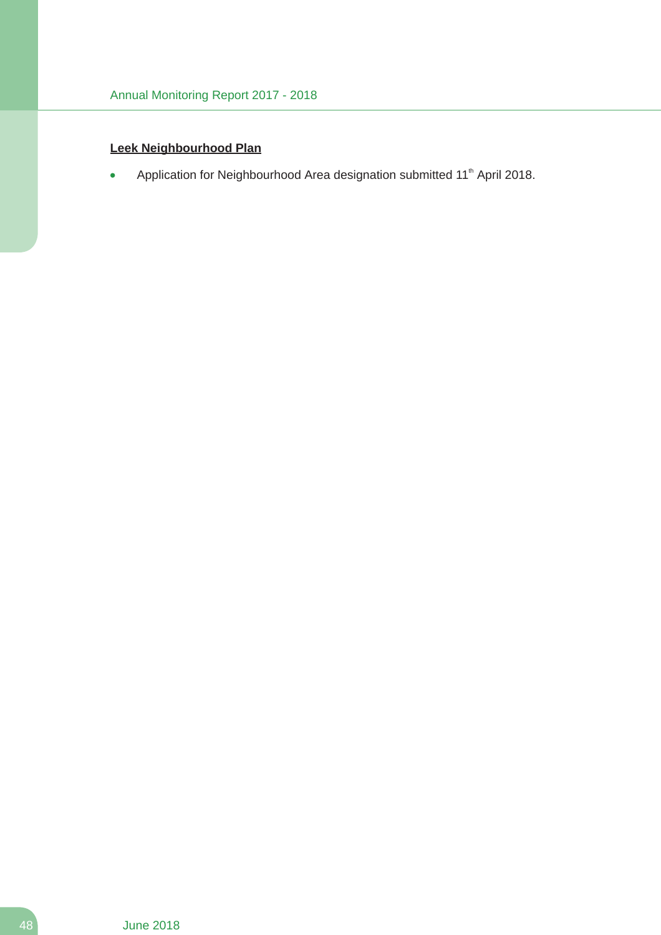### **Leek Neighbourhood Plan**

Application for Neighbourhood Area designation submitted 11<sup>th</sup> April 2018.  $\bullet$ 

48 June 2018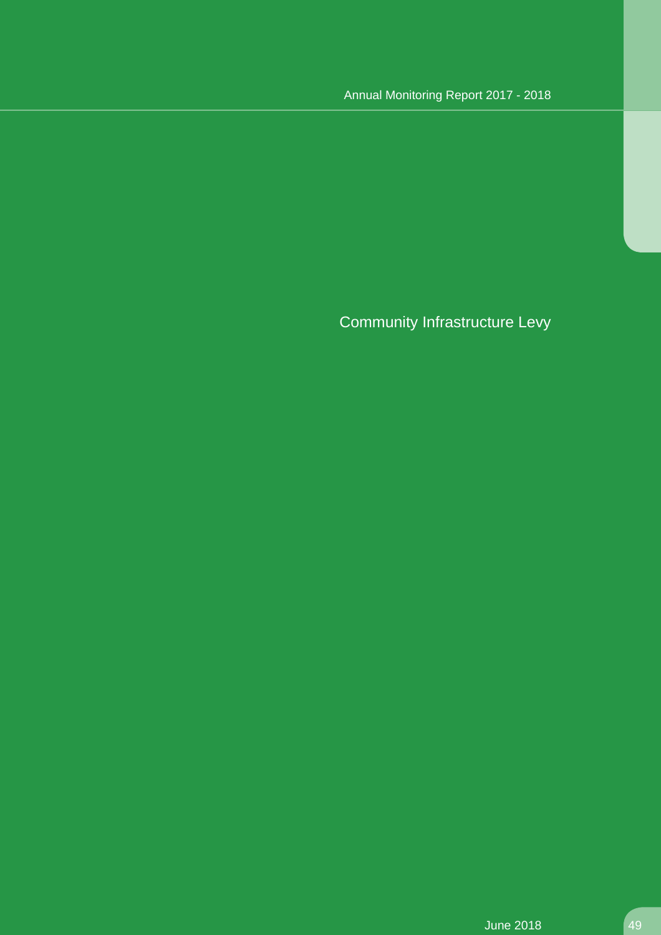Community Infrastructure Levy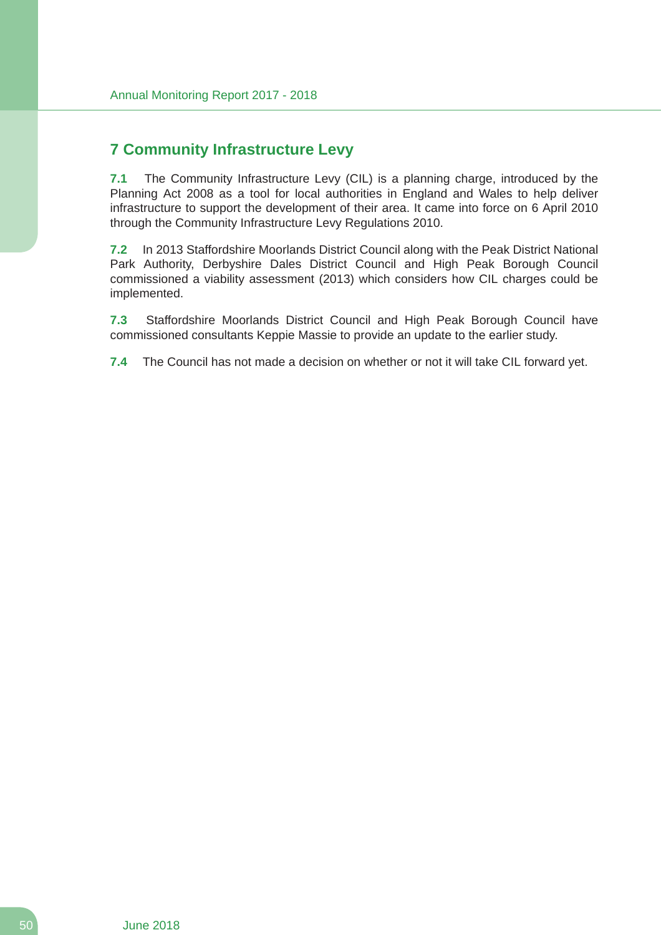# **7 Community Infrastructure Levy**

**7.1** The Community Infrastructure Levy (CIL) is a planning charge, introduced by the Planning Act 2008 as a tool for local authorities in England and Wales to help deliver infrastructure to support the development of their area. It came into force on 6 April 2010 through the Community Infrastructure Levy Regulations 2010.

**7.2** In 2013 Staffordshire Moorlands District Council along with the Peak District National Park Authority, Derbyshire Dales District Council and High Peak Borough Council commissioned a viability assessment (2013) which considers how CIL charges could be implemented.

**7.3** Staffordshire Moorlands District Council and High Peak Borough Council have commissioned consultants Keppie Massie to provide an update to the earlier study.

**7.4** The Council has not made a decision on whether or not it will take CIL forward yet.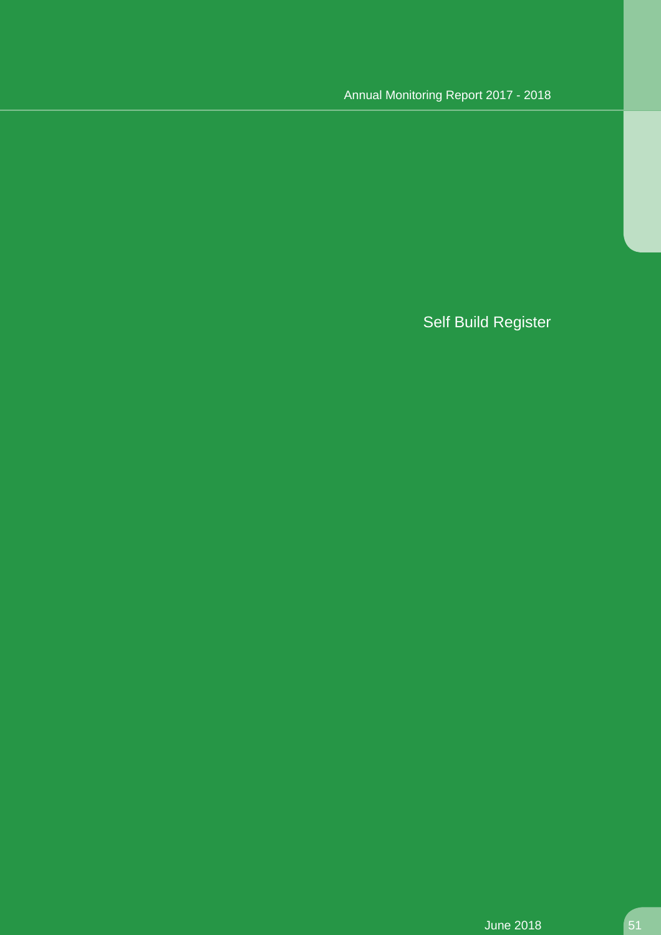# Self Build Register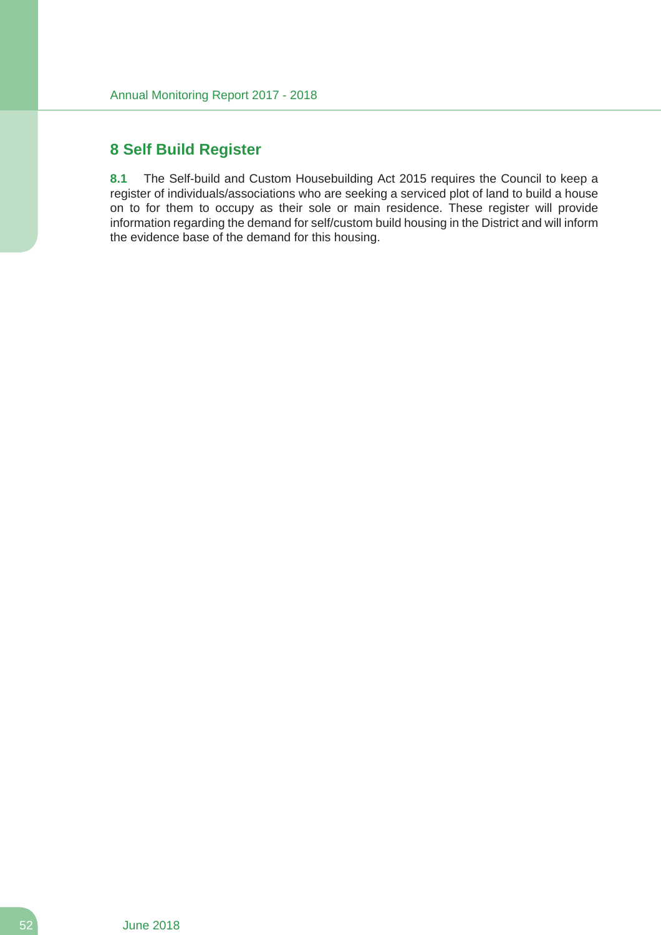### **8 Self Build Register**

**8.1** The Self-build and Custom Housebuilding Act 2015 requires the Council to keep a register of individuals/associations who are seeking a serviced plot of land to build a house on to for them to occupy as their sole or main residence. These register will provide information regarding the demand for self/custom build housing in the District and will inform the evidence base of the demand for this housing.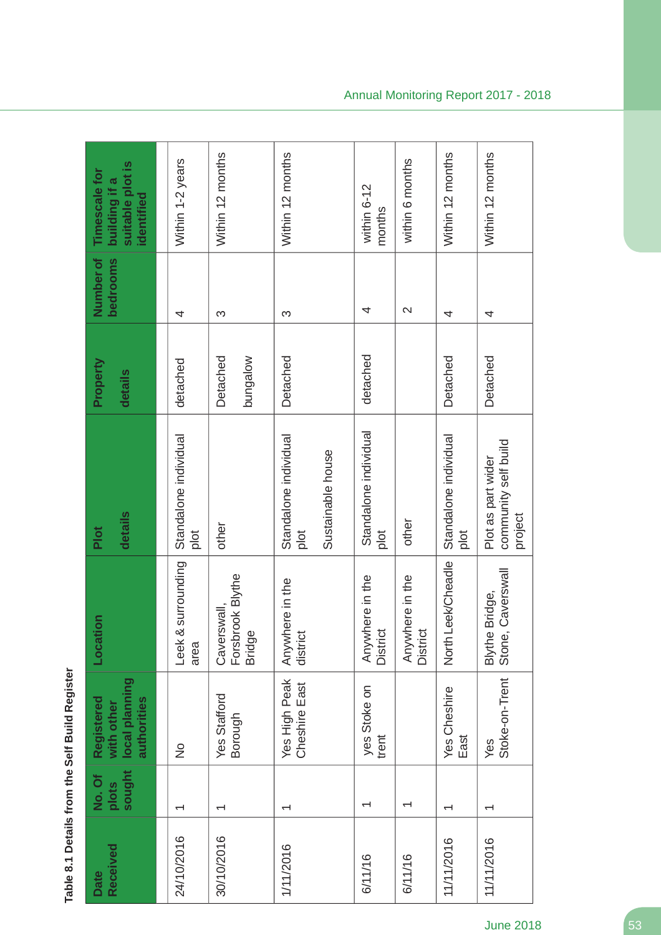Table 8.1 Details from the Self Build Register **Table 8.1 Details from the Self Build Register**

| Received<br>Date | sought<br>No. Of<br>plots | local planning<br>Registered<br>authorities<br>with other | Location                                         | details<br>Plot                                       | Property<br>details  | Number of<br>bedrooms | suitable plot is<br><b>Timescale for</b><br>building if a<br>identified |
|------------------|---------------------------|-----------------------------------------------------------|--------------------------------------------------|-------------------------------------------------------|----------------------|-----------------------|-------------------------------------------------------------------------|
| 24/10/2016       |                           | $\frac{1}{2}$                                             | & surrounding<br>Leek<br>area                    | Standalone individual<br>plot                         | detached             | 4                     | Within 1-2 years                                                        |
| 30/10/2016       | ᅮ                         | Yes Stafford<br>Borough                                   | Caverswall,<br>Forsbrook Blythe<br><b>Bridge</b> | other                                                 | Detached<br>bungalow | S                     | Within 12 months                                                        |
| 1/11/2016        | ᡪ                         | Yes High Peak<br>Cheshire East                            | Anywhere in the<br>district                      | Standalone individual<br>Sustainable house<br>plot    | Detached             | S                     | Within 12 months                                                        |
| 6/11/16          | ᅮ                         | yes Stoke on<br>trent                                     | Anywhere in the<br>District                      | Standalone individual<br>$\frac{1}{2}$                | detached             | 4                     | within 6-12<br>months                                                   |
| 6/11/16          | ᅮ                         |                                                           | Anywhere in the<br>District                      | other                                                 |                      | $\mathbf{\Omega}$     | within 6 months                                                         |
| 11/11/2016       |                           | <b>Yes Cheshire</b><br>East                               | North Leek/Cheadle                               | Standalone individual<br>plot                         | Detached             | 4                     | Within 12 months                                                        |
| 11/11/2016       |                           | Stoke-on-Trent<br>Yes                                     | Stone, Caverswall<br>Blythe Bridge,              | community self build<br>Plot as part wider<br>project | Detached             | 4                     | Within 12 months                                                        |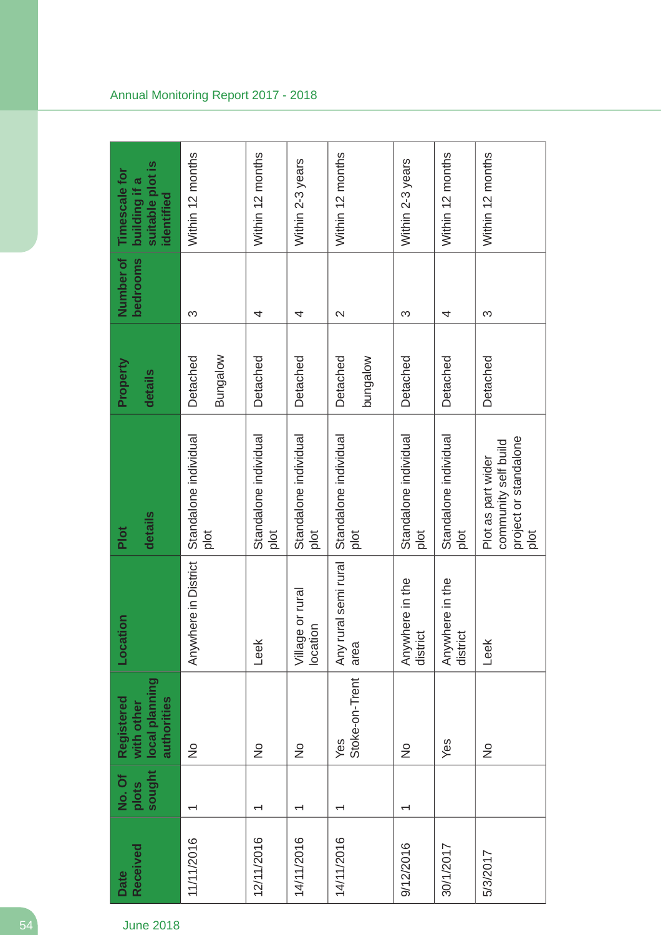| Received<br>Date | sought<br>No. Of<br>plots | local planning<br>Registered<br>authorities<br>with other | Location                     | details<br>Plot                                                             | Property<br>details  | Number of<br>bedrooms | suitable plot is<br>Timescale for<br>building if a<br>identified |
|------------------|---------------------------|-----------------------------------------------------------|------------------------------|-----------------------------------------------------------------------------|----------------------|-----------------------|------------------------------------------------------------------|
| 11/11/2016       | $\overline{\phantom{0}}$  | $\frac{1}{2}$                                             | Anywhere in District         | Standalone individual<br>plot                                               | Bungalow<br>Detached | S                     | Within 12 months                                                 |
| 12/11/2016       | ↽                         | $\frac{1}{2}$                                             | Leek                         | Standalone individual<br>plot                                               | Detached             | 4                     | Within 12 months                                                 |
| 14/11/2016       | $\overline{\phantom{0}}$  | $\frac{1}{2}$                                             | Village or rural<br>location | Standalone individual<br>plot                                               | Detached             | 4                     | Within 2-3 years                                                 |
| 14/11/2016       | $\overline{\phantom{0}}$  | Stoke-on-Trent<br>Yes                                     | Any rural semi rural<br>area | Standalone individual<br>plot                                               | Detached<br>wolebung | $\mathbf{\Omega}$     | Within 12 months                                                 |
| 9/12/2016        | ↽                         | $\frac{1}{2}$                                             | Anywhere in the<br>district  | Standalone individual<br>plot                                               | Detached             | S                     | Within 2-3 years                                                 |
| 30/1/2017        |                           | Yes                                                       | Anywhere in the<br>district  | Standalone individual<br>plot                                               | Detached             | 4                     | Within 12 months                                                 |
| 5/3/2017         |                           | $\frac{1}{2}$                                             | Leek                         | project or standalone<br>community self build<br>Plot as part wider<br>plot | Detached             | S                     | Within 12 months                                                 |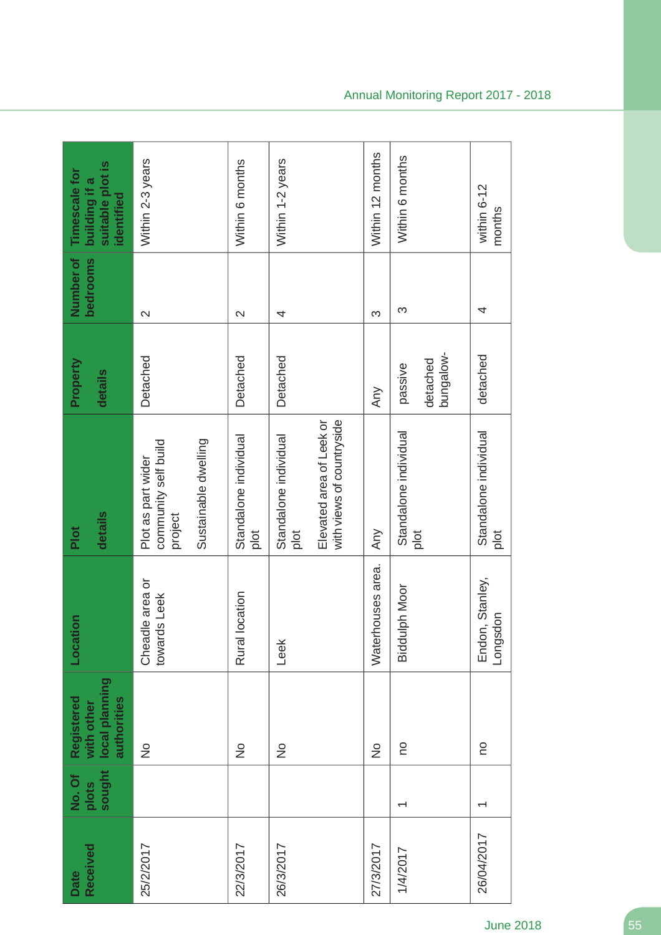| Received<br>Date | sought<br>No. Of<br>plots | local planning<br>Registered<br>authorities<br>with other | Location                        | details<br>Plot                                                                        | Property<br>details              | Number of<br>bedrooms | suitable plot is<br>Timescale for<br>building if a<br>identified |
|------------------|---------------------------|-----------------------------------------------------------|---------------------------------|----------------------------------------------------------------------------------------|----------------------------------|-----------------------|------------------------------------------------------------------|
| 25/2/2017        |                           | $\frac{1}{2}$                                             | Cheadle area or<br>towards Leek | Sustainable dwelling<br>community self build<br>Plot as part wider<br>project          | Detached                         | $\mathbf{\Omega}$     | Within 2-3 years                                                 |
| 22/3/2017        |                           | $\frac{1}{2}$                                             | location<br>Rural               | Standalone individual<br>plot                                                          | Detached                         | $\mathbf{\Omega}$     | Within 6 months                                                  |
| 26/3/2017        |                           | $\frac{1}{2}$                                             | Leek                            | Elevated area of Leek or<br>with views of countryside<br>Standalone individual<br>plot | Detached                         | 4                     | Within 1-2 years                                                 |
| 27/3/2017        |                           | $\frac{1}{2}$                                             | Waterhouses area.               | Any                                                                                    | Any                              | က                     | Within 12 months                                                 |
| 1/4/2017         | $\overline{\phantom{0}}$  | <b>OU</b>                                                 | <b>Biddulph Moor</b>            | Standalone individual<br>plot                                                          | bungalow-<br>detached<br>passive | က                     | Within 6 months                                                  |
| 26/04/2017       | $\overline{\phantom{0}}$  | OU                                                        | Endon, Stanley,<br>Longsdon     | Standalone individual<br>plot                                                          | detached                         | 4                     | within 6-12<br>months                                            |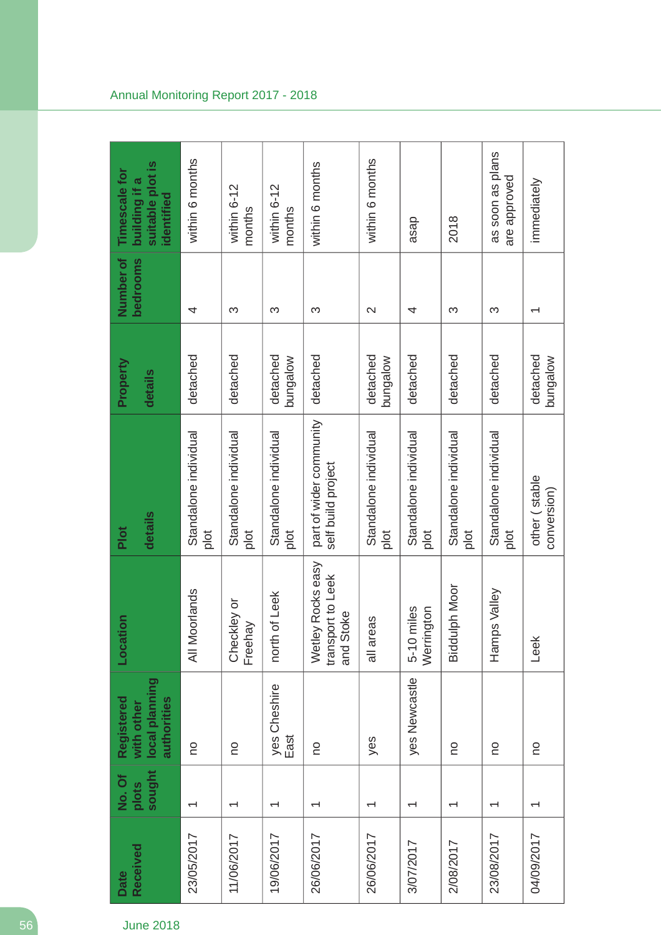| Received<br><b>Date</b> | sought<br>No. Of<br>plots | local planning<br>Registered<br>authorities<br>with other | Location                                            | details<br>Plot                               | Property<br>details  | Number of<br>bedrooms    | suitable plot is<br>Timescale for<br>building if a<br>identified |
|-------------------------|---------------------------|-----------------------------------------------------------|-----------------------------------------------------|-----------------------------------------------|----------------------|--------------------------|------------------------------------------------------------------|
| 23/05/2017              | ↽                         | <b>DO</b>                                                 | All Moorlands                                       | Standalone individual<br>plot                 | detached             | 4                        | within 6 months                                                  |
| 11/06/2017              | ᡪ                         | OU                                                        | Checkley or<br>Freehay                              | Standalone individual<br>plot                 | detached             | ς                        | within 6-12<br>months                                            |
| 19/06/2017              | ↽                         | yes Cheshire<br>East                                      | north of Leek                                       | Standalone individual<br>plot                 | detached<br>bungalow | ς                        | within 6-12<br>months                                            |
| 26/06/2017              | $\overline{\phantom{0}}$  | <b>DU</b>                                                 | Wetley Rocks easy<br>transport to Leek<br>and Stoke | part of wider community<br>self build project | detached             | ς                        | within 6 months                                                  |
| 26/06/2017              |                           | yes                                                       | eas<br>all ar                                       | Standalone individual<br>plot                 | detached<br>bungalow | $\mathbf{\Omega}$        | within 6 months                                                  |
| 3/07/2017               | ↽                         | yes Newcastle                                             | Werrington<br>miles<br>$5 - 10$                     | Standalone individual<br>plot                 | detached             | 4                        | asap                                                             |
| 2/08/2017               |                           | <b>OU</b>                                                 | <b>Biddulph Moor</b>                                | Standalone individual<br>plot                 | detached             | ς                        | 2018                                                             |
| 23/08/2017              |                           | o                                                         | Hamps Valley                                        | Standalone individual<br>plot                 | detached             | က                        | as soon as plans<br>are approved                                 |
| 04/09/2017              |                           | <b>OU</b>                                                 | Leek                                                | other (stable<br>conversion)                  | detached<br>molebung | $\overline{\phantom{0}}$ | immediately                                                      |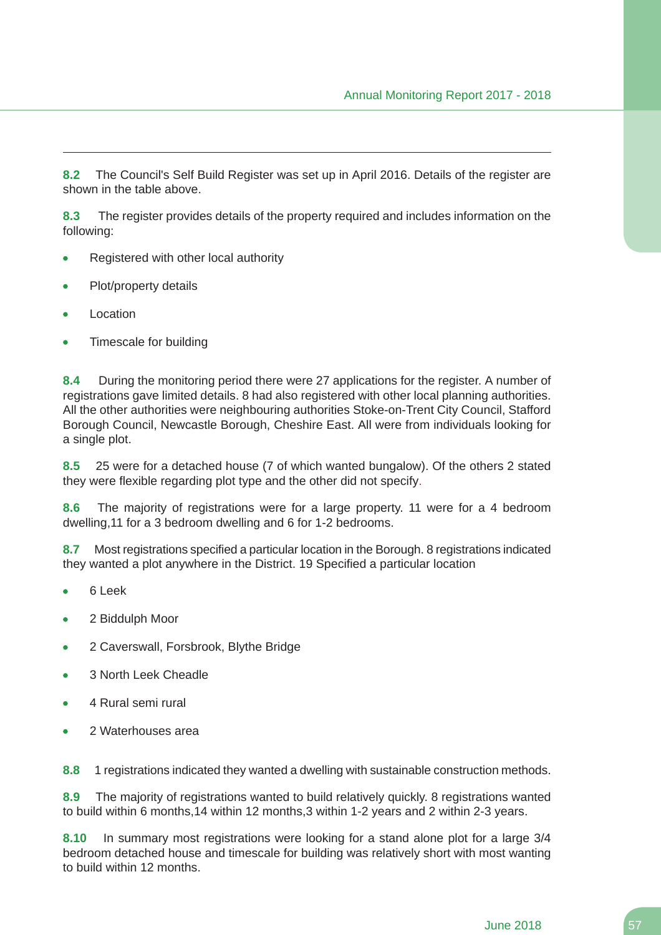**8.2** The Council's Self Build Register was set up in April 2016. Details of the register are shown in the table above.

**8.3** The register provides details of the property required and includes information on the following:

- Registered with other local authority  $\bullet$
- Plot/property details
- Location
- Timescale for building

**8.4** During the monitoring period there were 27 applications for the register. A number of registrations gave limited details. 8 had also registered with other local planning authorities. All the other authorities were neighbouring authorities Stoke-on-Trent City Council, Stafford Borough Council, Newcastle Borough, Cheshire East. All were from individuals looking for a single plot.

**8.5** 25 were for a detached house (7 of which wanted bungalow). Of the others 2 stated they were flexible regarding plot type and the other did not specify.

**8.6** The majority of registrations were for a large property. 11 were for a 4 bedroom dwelling,11 for a 3 bedroom dwelling and 6 for 1-2 bedrooms.

**8.7** Most registrations specified a particular location in the Borough. 8 registrations indicated they wanted a plot anywhere in the District. 19 Specified a particular location

- 6 Leek
- 2 Biddulph Moor
- 2 Caverswall, Forsbrook, Blythe Bridge  $\blacksquare$
- 3 North Leek Cheadle
- 4 Rural semi rural
- 2 Waterhouses area

**8.8** 1 registrations indicated they wanted a dwelling with sustainable construction methods.

**8.9** The majority of registrations wanted to build relatively quickly. 8 registrations wanted to build within 6 months,14 within 12 months,3 within 1-2 years and 2 within 2-3 years.

**8.10** In summary most registrations were looking for a stand alone plot for a large 3/4 bedroom detached house and timescale for building was relatively short with most wanting to build within 12 months.